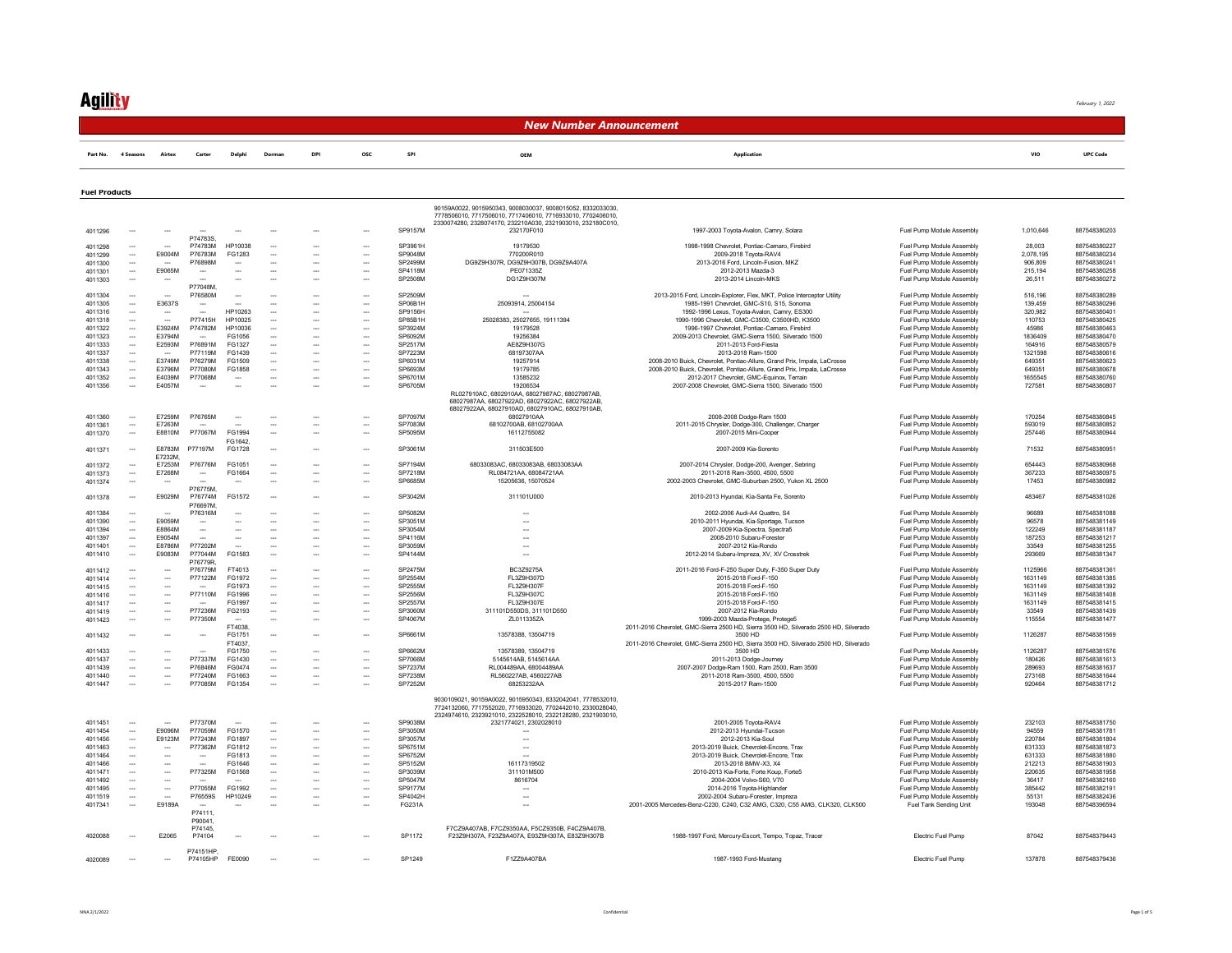## **Agility**

February 1, 2022

#### New Number Announcement

|  |  |  | Part No. 4 Seasons Airtex Carter Delphi Dorman DPI OSC SPI |  |  |  | <b>UPC Code</b> |
|--|--|--|------------------------------------------------------------|--|--|--|-----------------|
|  |  |  |                                                            |  |  |  |                 |

#### Fuel Products

|         |                          |                          |                             |                          |                          |                          |                          |                | 90159A0022, 9015950343, 9008030037, 9008015052, 8332033030<br>7778506010, 7717506010, 7717406010, 7716933010, 7702406010,<br>2330074280, 2328074170, 232210A030, 2321903010, 232180C010, |                                                                                                       |                                                        |                  |                              |
|---------|--------------------------|--------------------------|-----------------------------|--------------------------|--------------------------|--------------------------|--------------------------|----------------|------------------------------------------------------------------------------------------------------------------------------------------------------------------------------------------|-------------------------------------------------------------------------------------------------------|--------------------------------------------------------|------------------|------------------------------|
| 4011296 |                          |                          | P74783S                     |                          |                          |                          |                          | SP9157M        | 232170F010                                                                                                                                                                               | 1997-2003 Toyota-Avalon, Camry, Solara                                                                | Fuel Pump Module Assembly                              | 1,010,646        | 887548380203                 |
| 4011298 |                          |                          | P74783M                     | HP10038                  | $\overline{\phantom{a}}$ | ---                      | $\hspace{0.05cm} \ldots$ | SP3961H        | 19179530                                                                                                                                                                                 | 1998-1998 Chevrolet, Pontiac-Camaro, Firebird                                                         | Fuel Pump Module Assembly                              | 28,003           | 887548380227                 |
| 4011299 | $\sim$                   | E9004M                   | P76783M                     | FG1283                   | $\overline{\phantom{a}}$ | $\overline{\phantom{a}}$ | $\overline{\phantom{a}}$ | SP9048M        | 770200R010                                                                                                                                                                               | 2009-2018 Toyota-RAV4                                                                                 | Fuel Pump Module Assembly                              | 2,078,195        | 887548380234                 |
| 4011300 | $\sim$                   | $\overline{\phantom{a}}$ | P76898M                     | $\overline{\phantom{a}}$ | $\sim$                   | $\overline{\phantom{a}}$ | $\overline{\phantom{a}}$ | SP2499M        | DG9Z9H307R, DG9Z9H307B, DG9Z9A407A                                                                                                                                                       | 2013-2016 Ford Lincoln-Fusion MKZ                                                                     | Fuel Pump Module Assembly                              | 906 809          | 887548380241                 |
| 4011301 |                          | F9065M                   |                             |                          |                          |                          | $\overline{\phantom{a}}$ | SP4118M        | PE0713357                                                                                                                                                                                | 2012-2013 Mazda-3                                                                                     | Fuel Pump Module Assembly                              | 215,194          | 887548380258                 |
| 4011303 |                          |                          | P77048M                     |                          |                          |                          | $\overline{\phantom{a}}$ | SP2508M        | DG1Z9H307M                                                                                                                                                                               | 2013-2014 Lincoln-MKS                                                                                 | Fuel Pump Module Assembly                              | 26,511           | 887548380272                 |
| 4011304 | $\overline{\phantom{a}}$ |                          | P76580M                     | $\overline{\phantom{a}}$ |                          | --                       | $\overline{\phantom{a}}$ | SP2509M        |                                                                                                                                                                                          | 2013-2015 Ford, Lincoln-Explorer, Flex, MKT, Police Interceptor Utility                               | Fuel Pump Module Assembly                              | 516.196          | 887548380289                 |
| 4011305 | $\sim$                   | E3637S                   |                             |                          |                          | $\overline{\phantom{a}}$ | $\overline{\phantom{a}}$ | SP06B1H        | 25093914, 25004154                                                                                                                                                                       | 1985-1991 Chevrolet, GMC-S10, S15, Sonoma                                                             | Fuel Pump Module Assembly                              | 139.459          | 887548380296                 |
|         | -                        |                          |                             | HP10263                  | $\overline{\phantom{a}}$ | $\overline{\phantom{a}}$ | $\overline{\phantom{a}}$ | SP9156H        |                                                                                                                                                                                          | 1992-1996 Lexus, Toyota-Avalon, Camry, ES300                                                          | Fuel Pump Module Assembly                              | 320 982          | 887548380401                 |
| 4011316 |                          |                          | P77415H                     | HP10025                  |                          |                          |                          | SP85B1H        |                                                                                                                                                                                          | 1990-1996 Chevrolet, GMC-C3500, C3500HD, K3500                                                        |                                                        | 110753           | 887548380425                 |
| 4011318 | $\sim$<br>$\sim$         |                          |                             |                          | $\sim$                   |                          | $\sim$                   | SP3924M        | 25028383, 25027655, 19111394                                                                                                                                                             |                                                                                                       | Fuel Pump Module Assembly                              |                  |                              |
| 4011322 |                          | E3924M<br>E3794M         | P74782M                     | HP10036<br>FG1056        |                          | $\overline{\phantom{a}}$ |                          | SP6092M        | 19179528<br>19256384                                                                                                                                                                     | 1996-1997 Chevrolet, Pontiac-Camaro, Firebird<br>2009-2013 Chevrolet, GMC-Sierra 1500, Silverado 1500 | Fuel Pump Module Assembly<br>Fuel Pump Module Assembly | 45986<br>1836409 | 887548380463<br>887548380470 |
| 4011323 | $\sim$                   |                          | $\sim$                      |                          | $\overline{\phantom{a}}$ | $\overline{\phantom{a}}$ | $\overline{\phantom{a}}$ |                |                                                                                                                                                                                          |                                                                                                       |                                                        |                  |                              |
| 4011333 | $\overline{\phantom{a}}$ | E2593M                   | P76891M                     | FG1327                   | $\overline{\phantom{a}}$ |                          | $\overline{\phantom{a}}$ | SP2517M        | AE8Z9H307G                                                                                                                                                                               | 2011-2013 Ford-Fiesta                                                                                 | Fuel Pump Module Assembly                              | 164916           | 88754838057                  |
| 4011337 | $\overline{\phantom{a}}$ | $\sim$                   | P77119M                     | FG1439                   | $\overline{\phantom{a}}$ | $\overline{\phantom{a}}$ | $\overline{\phantom{a}}$ | SP7223M        | 68197307AA                                                                                                                                                                               | 2013-2018 Ram-1500                                                                                    | Fuel Pump Module Assembly                              | 1321598          | 887548380616                 |
| 4011338 | $\sim$                   | E3749M                   | P76279M                     | FG1509                   | $\overline{\phantom{a}}$ | $\overline{\phantom{a}}$ | $\overline{\phantom{a}}$ | SP6031M        | 19257914                                                                                                                                                                                 | 2008-2010 Buick, Chevrolet, Pontiac-Allure, Grand Prix, Impala, LaCrosse                              | Fuel Pump Module Assembly                              | 649351           | 887548380623                 |
| 4011343 | $\overline{\phantom{a}}$ | E3796M                   | P77080M                     | FG1858                   |                          |                          | $\overline{\phantom{a}}$ | SP6693M        | 19179785                                                                                                                                                                                 | 2008-2010 Buick, Chevrolet, Pontiac-Allure, Grand Prix, Impala, LaCrosse                              | Fuel Pump Module Assembly                              | 649351           | 887548380678                 |
| 4011352 | $\overline{\phantom{a}}$ | E4039M                   | P77068M                     |                          |                          |                          | $\overline{\phantom{a}}$ | SP6701M        | 13585232                                                                                                                                                                                 | 2012-2017 Chevrolet, GMC-Equinox, Terrain                                                             | Fuel Pump Module Assembly                              | 1655545          | 887548380760                 |
| 4011356 | ---                      | E4057M                   |                             |                          |                          |                          | $\sim$                   | SP6705M        | 19206534<br>RL027910AC, 6802910AA, 68027987AC, 68027987AB,<br>68027987AA, 68027922AD, 68027922AC, 68027922AB,<br>68027922AA, 68027910AD, 68027910AC, 68027910AB,                         | 2007-2008 Chevrolet, GMC-Sierra 1500, Silverado 1500                                                  | Fuel Pump Module Assembly                              | 727581           | 887548380807                 |
| 4011360 | $\sim$                   | F7259M                   | P76765M                     | $\overline{\phantom{a}}$ | $\overline{\phantom{a}}$ | $\overline{\phantom{a}}$ | $\overline{\phantom{a}}$ | SP7097M        | 68027910AA                                                                                                                                                                               | 2008-2008 Dodge-Ram 1500                                                                              | Fuel Pump Module Assembly                              | 170254           | 887548380845                 |
| 4011361 | $\sim$                   | F7263M                   |                             |                          | $\overline{\phantom{a}}$ | $\overline{\phantom{a}}$ | $\overline{\phantom{a}}$ | SP7083M        | 68102700AB 68102700AA                                                                                                                                                                    | 2011-2015 Chrysler, Dodge-300, Challenger, Charger                                                    | Fuel Pump Module Assembly                              | 593019           | 887548380853                 |
| 4011370 | $\sim$                   | E8810M                   | P77067M                     | FG1994<br>FG1642         | $\overline{\phantom{a}}$ | ---                      | $\overline{\phantom{a}}$ | SP5095M        | 16112755082                                                                                                                                                                              | 2007-2015 Mini-Cooper                                                                                 | Fuel Pump Module Assembly                              | 257446           | 887548380944                 |
| 4011371 |                          | <b>F8783M</b><br>E7232M  | P77197M                     | FG1728                   |                          |                          | $\overline{\phantom{a}}$ | SP3061M        | 311503E500                                                                                                                                                                               | 2007-2009 Kia-Sorento                                                                                 | Fuel Pump Module Assembly                              | 71532            | 887548380951                 |
| 4011372 | $\sim$                   | E7253M                   | P76776M                     | FG1051                   | $\overline{\phantom{a}}$ | ---                      | $\overline{\phantom{a}}$ | SP7194M        | 68033083AC, 68033083AB, 68033083AA                                                                                                                                                       | 2007-2014 Chrysler, Dodge-200, Avenger, Sebring                                                       | Fuel Pump Module Assembly                              | 654443           | 887548380968                 |
| 4011373 | $\sim$                   | E7268M                   | $\overline{\phantom{a}}$    | FG1664                   | $\overline{\phantom{a}}$ |                          | $\overline{\phantom{a}}$ | <b>SP7218M</b> | RL084721AA, 68084721AA                                                                                                                                                                   | 2011-2018 Ram-3500, 4500, 5500                                                                        | Fuel Pump Module Assembly                              | 367233           | 887548380975                 |
| 4011374 | $\sim$                   |                          |                             |                          | $\sim$                   | ---                      | $\overline{\phantom{a}}$ | SP6685M        | 15205636, 15070524                                                                                                                                                                       | 2002-2003 Chevrolet, GMC-Suburban 2500, Yukon XL 2500                                                 | Fuel Pump Module Assembly                              | 17453            | 887548380982                 |
| 4011378 | $\overline{\phantom{a}}$ | E9029M                   | P76775M.<br>P76774M         | FG1572                   |                          |                          | $\overline{\phantom{a}}$ | SP3042M        | 311101U000                                                                                                                                                                               | 2010-2013 Hyundai, Kia-Santa Fe, Sorento                                                              | Fuel Pump Module Assembly                              | 483467           | 887548381026                 |
|         |                          |                          | P76697M                     |                          |                          |                          |                          | SP5082M        |                                                                                                                                                                                          |                                                                                                       |                                                        | 96689            | 887548381088                 |
| 4011384 | $\overline{\phantom{a}}$ | $\overline{\phantom{a}}$ | P76316M                     |                          |                          | ---                      | $\overline{\phantom{a}}$ |                | $\overline{\phantom{a}}$                                                                                                                                                                 | 2002-2006 Audi-A4 Quattro, S4                                                                         | Fuel Pump Module Assembly                              |                  |                              |
| 4011390 | $\overline{\phantom{a}}$ | E9059M                   | $\overline{\phantom{a}}$    |                          |                          | $\overline{\phantom{a}}$ | $\overline{\phantom{a}}$ | SP3051M        | $\overline{\phantom{a}}$                                                                                                                                                                 | 2010-2011 Hyundai, Kia-Sportage, Tucson                                                               | Fuel Pump Module Assembly                              | 96578            | 887548381149                 |
| 4011394 | $\overline{\phantom{a}}$ | E8864M                   | Ξ.                          |                          |                          |                          |                          | SP3054M        |                                                                                                                                                                                          | 2007-2009 Kia-Spectra, Spectra5                                                                       | Fuel Pump Module Assembly                              | 122249           | 887548381187                 |
| 4011397 | $\overline{\phantom{a}}$ | <b>E9054M</b>            | $\overline{\phantom{a}}$    |                          | $\sim$                   | $\sim$                   | $\overline{\phantom{a}}$ | SP4116M        | $\sim$                                                                                                                                                                                   | 2008-2010 Subaru-Eorester                                                                             | Fuel Pump Module Assembly                              | 187253           | 887548381217                 |
| 4011401 | $\sim$                   | <b>F8786M</b>            | P77202M                     | $\overline{\phantom{a}}$ | $\sim$                   | $\overline{\phantom{a}}$ | $\overline{\phantom{a}}$ | SP3059M        | $\overline{\phantom{a}}$                                                                                                                                                                 | 2007-2012 Kia-Rondo                                                                                   | Fuel Pump Module Assembly                              | 33549            | 887548381255                 |
| 4011410 | $\sim$                   | E9083M                   | P77044M<br>P76779R          | FG1583                   | $\overline{\phantom{a}}$ | $\overline{\phantom{a}}$ | $\overline{\phantom{a}}$ | SP4144M        | Ξ.                                                                                                                                                                                       | 2012-2014 Subaru-Impreza, XV, XV Crosstrek                                                            | Fuel Pump Module Assembly                              | 293669           | 887548381347                 |
| 4011412 | $\overline{\phantom{a}}$ | $\overline{\phantom{a}}$ | P76779M                     | FT4013                   |                          | $\overline{\phantom{a}}$ | $\overline{\phantom{a}}$ | SP2475M        | BC3Z9275A                                                                                                                                                                                | 2011-2016 Ford-F-250 Super Duty, F-350 Super Duty                                                     | Fuel Pump Module Assembly                              | 1125966          | 887548381361                 |
| 4011414 | $\overline{\phantom{a}}$ | $\overline{\phantom{a}}$ | P77122M                     | FG1972                   | $\overline{\phantom{a}}$ |                          |                          | SP2554M        | FL3Z9H307D                                                                                                                                                                               | 2015-2018 Ford-F-150                                                                                  | Fuel Pump Module Assembly                              | 1631149          | 887548381385                 |
| 4011415 | $\sim$                   | $\sim$                   |                             | FG1973                   | $\overline{\phantom{a}}$ | $\overline{\phantom{a}}$ | $\overline{\phantom{a}}$ | SP2555M        | FL3Z9H307F                                                                                                                                                                               | 2015-2018 Ford-F-150                                                                                  | Fuel Pump Module Assembly                              | 1631149          | 887548381392                 |
| 4011416 | $\sim$                   | $\overline{\phantom{a}}$ | P77110M                     | FG1996                   | $\overline{\phantom{a}}$ | ---                      | $\overline{\phantom{a}}$ | SP2556M        | FL3Z9H307C                                                                                                                                                                               | 2015-2018 Ford-F-150                                                                                  | Fuel Pump Module Assembly                              | 1631149          | 887548381408                 |
| 4011417 | $\sim$                   | $\sim$                   |                             | FG1997                   | $\overline{\phantom{a}}$ | $\overline{\phantom{a}}$ | $\overline{\phantom{a}}$ | SP2557M        | FL3Z9H307E                                                                                                                                                                               | 2015-2018 Ford-F-150                                                                                  | Fuel Pump Module Assembly                              | 1631149          | 887548381415                 |
| 4011419 | $\sim$                   | $\overline{\phantom{a}}$ | P77236M                     | FG2193                   | $\overline{\phantom{a}}$ | $\overline{\phantom{a}}$ | $\overline{\phantom{a}}$ | SP3060M        | 311101D550DS. 311101D550                                                                                                                                                                 | 2007-2012 Kia-Rondo                                                                                   | Fuel Pump Module Assembly                              | 33549            | 887548381439                 |
| 4011423 |                          | $\overline{\phantom{a}}$ | P77350M                     | $\overline{\phantom{a}}$ |                          |                          | $\overline{\phantom{a}}$ | SP4067M        | ZL011335ZA                                                                                                                                                                               | 1999-2003 Mazda-Protege, Protege5                                                                     | Fuel Pump Module Assembly                              | 115554           | 887548381477                 |
| 4011432 | $\overline{\phantom{a}}$ | ---                      | $\overline{\phantom{a}}$    | FT4038<br>FG1751         |                          |                          | $\overline{\phantom{a}}$ | SP6661M        | 13578388, 13504719                                                                                                                                                                       | 2011-2016 Chevrolet, GMC-Sierra 2500 HD, Sierra 3500 HD, Silverado 2500 HD, Silverado<br>3500 HD      | Fuel Pump Module Assembly                              | 1126287          | 887548381569                 |
|         |                          |                          |                             | FT4037                   |                          |                          |                          |                |                                                                                                                                                                                          | 2011-2016 Chevrolet, GMC-Sierra 2500 HD, Sierra 3500 HD, Silverado 2500 HD, Silverado                 |                                                        |                  |                              |
| 4011433 | $\sim$                   | $\sim$                   |                             | FG1750                   | $\sim$                   | $\overline{\phantom{a}}$ | $\overline{\phantom{a}}$ | SP6662M        | 13578389 13504719                                                                                                                                                                        | 3500 HD                                                                                               | Fuel Pump Module Assembly                              | 1126287          | 887548381576                 |
| 4011437 | $\sim$                   | $\overline{\phantom{a}}$ | P77337M                     | FG1430                   | $\overline{\phantom{a}}$ | $\overline{\phantom{a}}$ | $\overline{\phantom{a}}$ | SP7066M        | 5145614AB, 5145614AA                                                                                                                                                                     | 2011-2013 Dodge-Journey                                                                               | Fuel Pump Module Assembly                              | 180426           | 887548381613                 |
| 4011439 | $\sim$                   | L.                       | P76846M                     | FG0474                   | $\sim$                   |                          | $\sim$                   | SP7237M        | RL004489AA, 68004489AA                                                                                                                                                                   | 2007-2007 Dodge-Ram 1500, Ram 2500, Ram 3500                                                          | Fuel Pump Module Assembly                              | 289693           | 887548381637                 |
| 4011440 | $\sim$                   | $\overline{\phantom{a}}$ | P77240M                     | FG1663                   | $\overline{\phantom{a}}$ | $\overline{\phantom{a}}$ | $\overline{\phantom{a}}$ | SP7238M        | RL560227AB, 4560227AB                                                                                                                                                                    | 2011-2018 Ram-3500 4500 5500                                                                          | Fuel Pump Module Assembly                              | 273168           | 887548381644                 |
| 4011447 | $\overline{\phantom{a}}$ | $\overline{a}$           | P77085M                     | FG1354                   | $\overline{\phantom{a}}$ |                          | $\overline{\phantom{a}}$ | SP7252M        | 68253232AA                                                                                                                                                                               | 2015-2017 Ram-1500                                                                                    | Fuel Pump Module Assembly                              | 920464           | 887548381712                 |
|         |                          |                          |                             |                          |                          |                          |                          |                | 9030109021, 90159A0022, 9015950343, 8332042041, 7778532010<br>7724132060, 7717552020, 7716933020, 7702442010, 2330028040.<br>2324974610, 2323921010, 2322528010, 2322128280, 2321903010, |                                                                                                       |                                                        |                  |                              |
| 4011451 | $\overline{\phantom{a}}$ | $\sim$                   | P77370M                     | $\overline{\phantom{a}}$ |                          |                          | $\overline{\phantom{a}}$ | SP9038M        | 2321774021, 2302028010                                                                                                                                                                   | 2001-2005 Toyota-RAV4                                                                                 | Fuel Pump Module Assembly                              | 232103           | 887548381750                 |
| 4011454 | $\sim$                   | F9096M                   | P77059M                     | FG1570                   | $\overline{\phantom{a}}$ | $\overline{\phantom{a}}$ | $\overline{\phantom{a}}$ | SP3050M        | $\overline{\phantom{a}}$                                                                                                                                                                 | 2012-2013 Hyundai-Tucson                                                                              | Fuel Pump Module Assembly                              | 94559            | 88754838178                  |
| 4011456 | $\overline{\phantom{a}}$ | E9123M                   | P77243M                     | FG1897                   | $\sim$                   | $\overline{\phantom{a}}$ | $\sim$                   | SP3057M        | $\overline{\phantom{a}}$                                                                                                                                                                 | 2012-2013 Kia-Soul                                                                                    | Fuel Pump Module Assembly                              | 220784           | 887548381804                 |
| 4011463 | $\sim$                   | $\overline{\phantom{a}}$ | P77362M                     | FG1812                   | $\overline{\phantom{a}}$ | $\overline{\phantom{a}}$ | $\overline{\phantom{a}}$ | SP6751M        | ---                                                                                                                                                                                      | 2013-2019 Buick, Chevrolet-Encore, Trax                                                               | Fuel Pump Module Assembly                              | 631333           | 887548381873                 |
| 4011464 | $\sim$                   | $\overline{\phantom{a}}$ | $\sim$                      | FG1813                   | $\overline{\phantom{a}}$ | $\overline{\phantom{a}}$ | $\overline{\phantom{a}}$ | SP6752M        | $\sim$                                                                                                                                                                                   | 2013-2019 Buick, Chevrolet-Encore, Trax                                                               | Fuel Pump Module Assembly                              | 631333           | 887548381880                 |
| 4011466 | $\sim$                   | $\sim$                   |                             | FG1646                   | $\overline{\phantom{a}}$ | $\overline{\phantom{a}}$ | $\overline{\phantom{a}}$ | SP5152M        | 16117319502                                                                                                                                                                              | 2013-2018 BMW-X3 X4                                                                                   | Fuel Pump Module Assembly                              | 212213           | 887548381903                 |
| 4011471 | $\overline{\phantom{a}}$ | $\sim$                   | P77325M                     | FG1568                   | $\overline{a}$           | $\overline{\phantom{a}}$ | $\overline{\phantom{a}}$ | SP3039M        | 311101M500                                                                                                                                                                               | 2010-2013 Kia-Forte, Forte Koup, Forte5                                                               | Fuel Pump Module Assembly                              | 220635           | 887548381958                 |
| 4011492 | $\overline{\phantom{a}}$ | $\sim$                   |                             |                          | $\sim$                   | $\overline{\phantom{a}}$ | $\overline{\phantom{a}}$ | SP5047M        | 8616704                                                                                                                                                                                  | 2004-2004 Volvo-S60, V70                                                                              | Fuel Pump Module Assembly                              | 36417            | 887548382160                 |
| 4011495 | $\overline{\phantom{a}}$ | $\sim$                   | P77055M                     | FG1992                   |                          |                          | $\overline{\phantom{a}}$ | <b>SP9177M</b> |                                                                                                                                                                                          | 2014-2016 Toyota-Highlander                                                                           | Fuel Pump Module Assembly                              | 385442           | 88754838219                  |
| 4011519 | $\overline{\phantom{a}}$ | $\sim$                   | P76559S                     | HP10249                  | $\overline{\phantom{a}}$ | $\overline{\phantom{a}}$ | $\overline{\phantom{a}}$ | SP4042H        | $\overline{\phantom{a}}$                                                                                                                                                                 | 2002-2004 Subaru-Forester, Impreza                                                                    | Fuel Pump Module Assembly                              | 55131            | 887548382436                 |
| 4017341 | ---                      | E9189A                   | $\sim$                      |                          |                          |                          | $\overline{\phantom{a}}$ | FG231A         | $\overline{\phantom{a}}$                                                                                                                                                                 | 2001-2005 Mercedes-Benz-C230, C240, C32 AMG, C320, C55 AMG, CLK320, CLK500                            | Fuel Tank Sending Unit                                 | 193048           | 887548396594                 |
|         |                          |                          | P74111.<br>P90041<br>P74145 |                          |                          |                          |                          |                | F7CZ9A407AB, F7CZ9350AA, F5CZ9350B, F4CZ9A407B,                                                                                                                                          |                                                                                                       |                                                        |                  |                              |
| 4020088 |                          | E2065                    | P74104<br>P74151HP          |                          |                          |                          |                          | SP1172         | F23Z9H307A, F23Z9A407A, E93Z9H307A, E83Z9H307B                                                                                                                                           | 1988-1997 Ford, Mercury-Escort, Tempo, Topaz, Tracer                                                  | Electric Fuel Pump                                     | 87042            | 887548379443                 |
| 4020089 |                          | $\sim$                   | P74105HP                    | FE0090                   |                          |                          |                          | SP1249         | F1779A407BA                                                                                                                                                                              | 1987-1993 Ford-Mustang                                                                                | Electric Fuel Pump                                     | 137878           | 887548379436                 |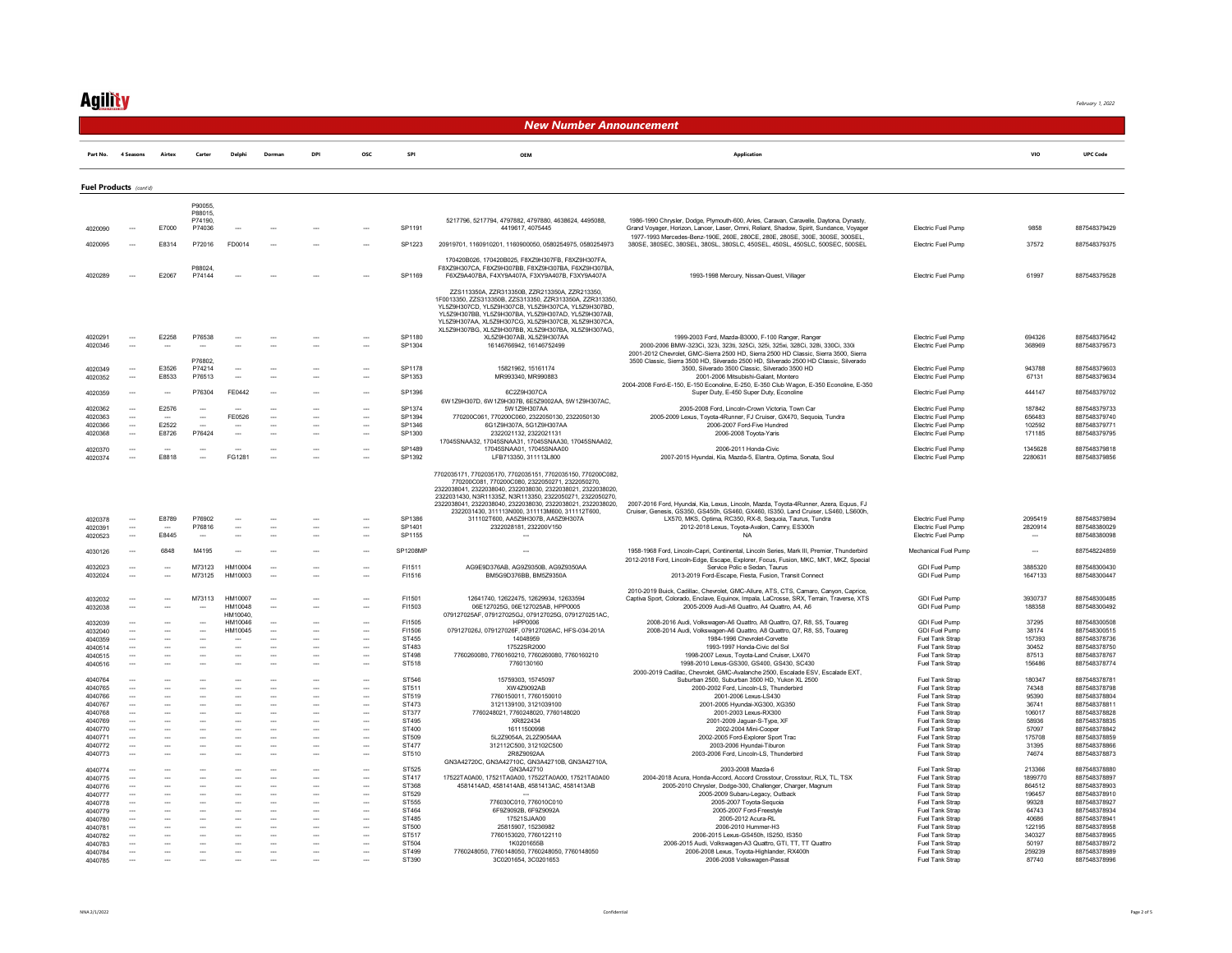### **Ag<u>ility</u>**

#### New Number Announcement

|                               |                                                      |                                                      |                                                      |                          |                                                      | <b>DP</b>                                            | osc                                                  | SPI                        | OEM                                                                                                                                                                                                                                                                                                                                                       | <b>Application</b>                                                                                                                                                                                                                                                                                    |                                                                       | VIC                      | <b>UPC Code</b>                              |
|-------------------------------|------------------------------------------------------|------------------------------------------------------|------------------------------------------------------|--------------------------|------------------------------------------------------|------------------------------------------------------|------------------------------------------------------|----------------------------|-----------------------------------------------------------------------------------------------------------------------------------------------------------------------------------------------------------------------------------------------------------------------------------------------------------------------------------------------------------|-------------------------------------------------------------------------------------------------------------------------------------------------------------------------------------------------------------------------------------------------------------------------------------------------------|-----------------------------------------------------------------------|--------------------------|----------------------------------------------|
| Fuel Products (cont'd)        |                                                      |                                                      |                                                      |                          |                                                      |                                                      |                                                      |                            |                                                                                                                                                                                                                                                                                                                                                           |                                                                                                                                                                                                                                                                                                       |                                                                       |                          |                                              |
|                               |                                                      |                                                      |                                                      |                          |                                                      |                                                      |                                                      |                            |                                                                                                                                                                                                                                                                                                                                                           |                                                                                                                                                                                                                                                                                                       |                                                                       |                          |                                              |
|                               |                                                      |                                                      | P90055.<br>P88015,                                   |                          |                                                      |                                                      |                                                      |                            |                                                                                                                                                                                                                                                                                                                                                           |                                                                                                                                                                                                                                                                                                       |                                                                       |                          |                                              |
|                               |                                                      |                                                      | P74190,                                              |                          |                                                      |                                                      |                                                      |                            | 5217796, 5217794, 4797882, 4797880, 4638624, 4495088,                                                                                                                                                                                                                                                                                                     | 1986-1990 Chrysler, Dodge, Plymouth-600, Aries, Caravan, Caravelle, Daytona, Dynasty,                                                                                                                                                                                                                 |                                                                       |                          |                                              |
| 4020090                       |                                                      | E7000                                                | P74036                                               |                          |                                                      |                                                      |                                                      | SP1191                     | 4419617, 4075445                                                                                                                                                                                                                                                                                                                                          | Grand Voyager, Horizon, Lancer, Laser, Omni, Reliant, Shadow, Spirit, Sundance, Voyager<br>1977-1993 Mercedes-Benz-190E, 260E, 280CE, 280E, 280SE, 300E, 300SE, 300SEL,                                                                                                                               | Electric Fuel Pump                                                    | 9858                     | 887548379429                                 |
| 4020095                       |                                                      | F8314                                                | P72016                                               | FD0014                   |                                                      |                                                      |                                                      | SP1223                     | 20919701, 1160910201, 1160900050, 0580254975, 0580254973                                                                                                                                                                                                                                                                                                  | 380SE, 380SEC, 380SEL, 380SL, 380SLC, 450SEL, 450SL, 450SLC, 500SEC, 500SEL                                                                                                                                                                                                                           | Electric Fuel Pump                                                    | 37572                    | 887548379375                                 |
|                               |                                                      |                                                      |                                                      |                          |                                                      |                                                      |                                                      |                            |                                                                                                                                                                                                                                                                                                                                                           |                                                                                                                                                                                                                                                                                                       |                                                                       |                          |                                              |
|                               |                                                      |                                                      | P88024                                               |                          |                                                      |                                                      |                                                      |                            | 170420B026 170420B025 F8X79H307FB F8X79H307FA<br>F8XZ9H307CA F8XZ9H307BB F8XZ9H307BA F6XZ9H307BA                                                                                                                                                                                                                                                          |                                                                                                                                                                                                                                                                                                       |                                                                       |                          |                                              |
| 4020289                       |                                                      | E2067                                                | P74144                                               |                          |                                                      |                                                      |                                                      | SP1169                     | F6XZ9A407BA, F4XY9A407A, F3XY9A407B, F3XY9A407A                                                                                                                                                                                                                                                                                                           | 1993-1998 Mercury, Nissan-Quest, Villager                                                                                                                                                                                                                                                             | <b>Electric Fuel Pump</b>                                             | 61997                    | 887548379528                                 |
|                               |                                                      |                                                      |                                                      |                          |                                                      |                                                      |                                                      |                            | 77S113350A 77R313350B 77R213350A 77R213350<br>1F0013350, ZZS313350B, ZZS313350, ZZR313350A, ZZR313350,<br>YL5Z9H307CD, YL5Z9H307CB, YL5Z9H307CA, YL5Z9H307BD,<br>YL5Z9H307BB, YL5Z9H307BA, YL5Z9H307AD, YL5Z9H307AB,                                                                                                                                      |                                                                                                                                                                                                                                                                                                       |                                                                       |                          |                                              |
|                               |                                                      |                                                      |                                                      |                          |                                                      |                                                      |                                                      |                            | YL5Z9H307AA, XL5Z9H307CG, XL5Z9H307CB, XL5Z9H307CA,<br>XL5Z9H307BG, XL5Z9H307BB, XL5Z9H307BA, XL5Z9H307AG,                                                                                                                                                                                                                                                |                                                                                                                                                                                                                                                                                                       |                                                                       |                          |                                              |
| 4020291                       |                                                      | E2258                                                | P76538                                               |                          |                                                      |                                                      |                                                      | SP1180                     | XL5Z9H307AB, XL5Z9H307AA                                                                                                                                                                                                                                                                                                                                  | 1999-2003 Ford, Mazda-B3000, F-100 Ranger, Ranger                                                                                                                                                                                                                                                     | Electric Fuel Pump                                                    | 694326                   | 887548379542                                 |
| 4020346                       | $\overline{\phantom{a}}$                             |                                                      | $\overline{\phantom{a}}$                             |                          |                                                      |                                                      | $\sim$                                               | SP1304                     | 16146766942, 16146752499                                                                                                                                                                                                                                                                                                                                  | 2000-2006 BMW-323Ci 323i 323ti 325Ci 325i 325xi 328Ci 328i 330Ci 330i                                                                                                                                                                                                                                 | Electric Fuel Pump                                                    | 368969                   | 887548379573                                 |
|                               |                                                      |                                                      | P76802                                               |                          |                                                      |                                                      |                                                      |                            |                                                                                                                                                                                                                                                                                                                                                           | 2001-2012 Chevrolet, GMC-Sierra 2500 HD, Sierra 2500 HD Classic, Sierra 3500, Sierra<br>3500 Classic, Sierra 3500 HD, Silverado 2500 HD, Silverado 2500 HD Classic, Silverado                                                                                                                         |                                                                       |                          |                                              |
| 4020349                       |                                                      | E3526                                                | P74214                                               |                          |                                                      |                                                      |                                                      | SP1178                     | 15821962, 15161174                                                                                                                                                                                                                                                                                                                                        | 3500, Silverado 3500 Classic, Silverado 3500 HD                                                                                                                                                                                                                                                       | Electric Fuel Pump                                                    | 943788                   | 887548379603                                 |
| 4020352                       | $\overline{\phantom{a}}$                             | E8533                                                | P76513                                               | $\overline{\phantom{a}}$ |                                                      |                                                      | $\overline{\phantom{a}}$                             | SP1353                     | MR993340, MR990883                                                                                                                                                                                                                                                                                                                                        | 2001-2006 Mitsubishi-Galant. Montero                                                                                                                                                                                                                                                                  | Electric Fuel Pump                                                    | 67131                    | 887548379634                                 |
| 4020359                       |                                                      | $\overline{\phantom{a}}$                             | P76304                                               | FE0442                   |                                                      |                                                      |                                                      | SP1396                     | 6C2Z9H307CA                                                                                                                                                                                                                                                                                                                                               | 2004-2008 Ford-E-150, E-150 Econoline, E-250, E-350 Club Wagon, E-350 Econoline, E-350<br>Super Duty, E-450 Super Duty, Econoline                                                                                                                                                                     | Electric Fuel Pump                                                    | 444147                   | 887548379702                                 |
|                               |                                                      |                                                      |                                                      |                          |                                                      |                                                      |                                                      |                            | 6W1Z9H307D, 6W1Z9H307B, 6E5Z9002AA, 5W1Z9H307AC.                                                                                                                                                                                                                                                                                                          |                                                                                                                                                                                                                                                                                                       |                                                                       |                          |                                              |
| 4020362                       | $\overline{\phantom{a}}$                             | E2576                                                | $\sim$                                               |                          |                                                      |                                                      | $\overline{\phantom{a}}$                             | SP1374                     | 5W1Z9H307AA                                                                                                                                                                                                                                                                                                                                               | 2005-2008 Ford, Lincoln-Crown Victoria, Town Car                                                                                                                                                                                                                                                      | Electric Fuel Pump                                                    | 187842                   | 887548379733                                 |
| 4020363                       | $\overline{\phantom{a}}$                             |                                                      | $\overline{\phantom{a}}$                             | FE0526                   | $\overline{\phantom{a}}$                             | $\overline{\phantom{a}}$                             | $\overline{\phantom{a}}$                             | SP1394                     | 770200C061, 770200C060, 2322050130, 2322050130                                                                                                                                                                                                                                                                                                            | 2005-2009 Lexus, Toyota-4Runner, FJ Cruiser, GX470, Sequoia, Tundra                                                                                                                                                                                                                                   | Electric Fuel Pump                                                    | 656483                   | 887548379740                                 |
| 4020366<br>4020368            | $\overline{\phantom{a}}$<br>$\overline{\phantom{a}}$ | E2522<br>E8726                                       | P76424                                               | $\sim$                   |                                                      |                                                      | $\overline{\phantom{a}}$<br>$\sim$                   | SP1346<br>SP1300           | 6G1Z9H307A, 5G1Z9H307AA<br>2322021132.2322021131                                                                                                                                                                                                                                                                                                          | 2006-2007 Ford-Five Hundred<br>2006-2008 Toyota-Yaris                                                                                                                                                                                                                                                 | Electric Fuel Pump<br><b>Electric Fuel Pump</b>                       | 102592<br>171185         | 887548379771<br>887548379795                 |
|                               |                                                      |                                                      |                                                      |                          |                                                      |                                                      |                                                      |                            | 17045SNAA32, 17045SNAA31, 17045SNAA30, 17045SNAA02,                                                                                                                                                                                                                                                                                                       |                                                                                                                                                                                                                                                                                                       |                                                                       |                          |                                              |
| 4020370                       |                                                      |                                                      |                                                      |                          |                                                      |                                                      |                                                      | SP1489                     | 17045SNAA01, 17045SNAA00                                                                                                                                                                                                                                                                                                                                  | 2006-2011 Honda-Civic                                                                                                                                                                                                                                                                                 | Electric Fuel Pump                                                    | 1345628                  | 887548379818                                 |
| 4020374                       | $\overline{\phantom{a}}$                             | F8818                                                | $\overline{\phantom{a}}$                             | FG1281                   |                                                      |                                                      | $\overline{\phantom{a}}$                             | SP1392                     | LFB713350. 311113L800                                                                                                                                                                                                                                                                                                                                     | 2007-2015 Hyundai, Kia, Mazda-5, Elantra, Optima, Sonata, Soul                                                                                                                                                                                                                                        | <b>Electric Fuel Pump</b>                                             | 2280631                  | 887548379856                                 |
| 4020378<br>4020391<br>4020523 | $\overline{\phantom{a}}$<br>$\sim$                   | E8789<br>E8445                                       | P76902<br>P76816                                     | $\sim$                   | $\sim$                                               | $\sim$                                               | $\sim$<br>$\sim$                                     | SP1386<br>SP1401<br>SP1155 | 770200C081 770200C080 2322050271 2322050270<br>2322038041, 2322038040, 2322038030, 2322038021, 2322038020,<br>2322031430, N3R11335Z, N3R113350, 2322050271, 2322050270,<br>2322038041, 2322038040, 2322038030, 2322038021, 2322038020,<br>2322031430, 311113N000, 311113M600, 311112T600,<br>311102T600, AA5Z9H307B, AA5Z9H307A<br>2322028181, 232200V150 | 2007-2016 Ford, Hyundai, Kia, Lexus, Lincoln, Mazda, Toyota-4Runner, Azera, Equus, FJ<br>Cruiser, Genesis, GS350, GS450h, GS460, GX460, IS350, Land Cruiser, LS460, LS600h,<br>LX570, MKS, Optima, RC350, RX-8, Sequoia, Taurus, Tundra<br>2012-2018 Lexus, Toyota-Avalon, Camry, ES300h<br><b>NA</b> | Electric Fuel Pump<br><b>Electric Euel Pump</b><br>Electric Fuel Pump | 2095419<br>2820914       | 887548379894<br>887548380029<br>887548380098 |
|                               |                                                      |                                                      |                                                      |                          |                                                      |                                                      |                                                      |                            |                                                                                                                                                                                                                                                                                                                                                           |                                                                                                                                                                                                                                                                                                       |                                                                       |                          |                                              |
| 4030126                       |                                                      | 6848                                                 | M4195                                                |                          |                                                      |                                                      |                                                      | SP1208MP                   |                                                                                                                                                                                                                                                                                                                                                           | 1958-1968 Ford, Lincoln-Capri, Continental, Lincoln Series, Mark III, Premier, Thunderbird                                                                                                                                                                                                            | Mechanical Fuel Pump                                                  | $\overline{\phantom{a}}$ | 887548224859                                 |
| 4032023                       |                                                      | $\overline{a}$                                       | M73123                                               | HM10004                  | $\overline{\phantom{a}}$                             |                                                      |                                                      | F11511                     | AG9E9D376AB, AG9Z9350B, AG9Z9350AA                                                                                                                                                                                                                                                                                                                        | 2012-2018 Ford, Lincoln-Edge, Escape, Explorer, Focus, Fusion, MKC, MKT, MKZ, Special<br>Service Polic e Sedan, Taurus                                                                                                                                                                                | GDI Fuel Pump                                                         | 3885320                  | 887548300430                                 |
| 4032024                       |                                                      | $\overline{\phantom{a}}$                             | M73125                                               | HM10003                  |                                                      |                                                      |                                                      | F11516                     | BM5G9D376BB, BM5Z9350A                                                                                                                                                                                                                                                                                                                                    | 2013-2019 Ford-Escape, Fiesta, Fusion, Transit Connect                                                                                                                                                                                                                                                | GDI Fuel Pump                                                         | 1647133                  | 887548300447                                 |
|                               |                                                      |                                                      |                                                      |                          |                                                      |                                                      |                                                      |                            |                                                                                                                                                                                                                                                                                                                                                           | 2010-2019 Buick, Cadillac, Chevrolet, GMC-Allure, ATS, CTS, Camaro, Canyon, Caprice,                                                                                                                                                                                                                  |                                                                       |                          |                                              |
| 4032032                       |                                                      |                                                      | M73113                                               | HM10007                  | $\overline{\phantom{a}}$                             |                                                      |                                                      | F11501                     | 12641740, 12622475, 12629934, 12633594                                                                                                                                                                                                                                                                                                                    | Captiva Sport, Colorado, Enclave, Equinox, Impala, LaCrosse, SRX, Terrain, Traverse, XTS                                                                                                                                                                                                              | <b>GDI Fuel Pump</b>                                                  | 3930737                  | 887548300485                                 |
| 4032038                       |                                                      |                                                      |                                                      | HM10048<br>HM10040       | ш,                                                   |                                                      | $\overline{\phantom{a}}$                             | F11503                     | 06E127025G. 06E127025AB. HPP0005                                                                                                                                                                                                                                                                                                                          | 2005-2009 Audi-A6 Quattro, A4 Quattro, A4, A6                                                                                                                                                                                                                                                         | GDI Fuel Pump                                                         | 188358                   | 887548300492                                 |
| 4032039                       | $\overline{\phantom{a}}$                             |                                                      |                                                      | HM10046                  | $\overline{\phantom{a}}$                             |                                                      | $\overline{\phantom{a}}$                             | F11505                     | 079127025AF. 079127025GJ. 079127025G. 0791270251AC<br>HPP0006                                                                                                                                                                                                                                                                                             | 2008-2016 Audi, Volkswagen-A6 Quattro, A8 Quattro, Q7, R8, S5, Touareg                                                                                                                                                                                                                                | <b>GDI Fuel Pump</b>                                                  | 37295                    | 887548300508                                 |
| 4032040                       |                                                      |                                                      |                                                      | HM10045                  | ш,                                                   |                                                      | $\overline{\phantom{a}}$                             | F11506                     | 079127026J, 079127026F, 079127026AC, HFS-034-201A                                                                                                                                                                                                                                                                                                         | 2008-2014 Audi, Volkswagen-A6 Quattro, A8 Quattro, Q7, R8, S5, Touareg                                                                                                                                                                                                                                | <b>GDI Fuel Pump</b>                                                  | 38174                    | 887548300515                                 |
| 4040359                       | $\sim$                                               | $\overline{\phantom{a}}$                             | $\sim$                                               | ---                      | $\overline{a}$                                       | $\overline{\phantom{a}}$                             | $\overline{\phantom{a}}$                             | ST455                      | 14048959                                                                                                                                                                                                                                                                                                                                                  | 1984-1996 Chevrolet-Corvette                                                                                                                                                                                                                                                                          | Fuel Tank Strap                                                       | 157393                   | 887548378736                                 |
| 4040514<br>4040515            | $\overline{\phantom{a}}$<br>$\overline{\phantom{a}}$ | $\overline{\phantom{a}}$                             | Ξ.<br>$\overline{\phantom{a}}$                       | ---                      | Ξ.<br>--                                             | $\overline{\phantom{a}}$                             | $\overline{\phantom{a}}$<br>$\overline{\phantom{a}}$ | ST483<br>ST498             | 17522SR2000<br>7760260080, 7760160210, 7760260080, 7760160210                                                                                                                                                                                                                                                                                             | 1993-1997 Honda-Civic del Sol<br>1998-2007 Lexus, Toyota-Land Cruiser, LX470                                                                                                                                                                                                                          | Fuel Tank Strap<br>Fuel Tank Strap                                    | 30452<br>87513           | 887548378750<br>887548378767                 |
| 4040516                       | $\sim$                                               | $\sim$                                               | $\sim$                                               | s.                       | $\sim$                                               | $\sim$                                               | $\sim$                                               | ST518                      | 7760130160                                                                                                                                                                                                                                                                                                                                                | 1998-2010 Lexus-GS300, GS400, GS430, SC430                                                                                                                                                                                                                                                            | Fuel Tank Strap                                                       | 156486                   | 887548378774                                 |
|                               |                                                      |                                                      |                                                      |                          |                                                      |                                                      |                                                      | ST546                      |                                                                                                                                                                                                                                                                                                                                                           | 2000-2019 Cadillac, Chevrolet, GMC-Avalanche 2500, Escalade ESV, Escalade EXT,                                                                                                                                                                                                                        |                                                                       | 180347                   |                                              |
| 4040764<br>4040765            | $\overline{\phantom{a}}$<br>$\overline{\phantom{a}}$ | $\overline{\phantom{a}}$<br>$\overline{\phantom{a}}$ | ---<br>$\overline{\phantom{a}}$                      | $\overline{a}$           | $\overline{\phantom{a}}$<br>$\overline{\phantom{a}}$ | $\overline{\phantom{a}}$<br>$\overline{\phantom{a}}$ | $\overline{\phantom{a}}$<br>$\overline{\phantom{a}}$ | ST511                      | 15759303, 15745097<br>XW479092AB                                                                                                                                                                                                                                                                                                                          | Suburban 2500, Suburban 3500 HD, Yukon XL 2500<br>2000-2002 Ford Lincoln-LS Thunderbird                                                                                                                                                                                                               | Fuel Tank Strap<br><b>Fuel Tank Strap</b>                             | 74348                    | 887548378781<br>887548378798                 |
| 4040766                       | $\overline{\phantom{a}}$                             |                                                      | Ξ.                                                   |                          |                                                      | Ξ.                                                   | $\sim$                                               | ST519                      | 7760150011, 7760150010                                                                                                                                                                                                                                                                                                                                    | 2001-2006 Lexus-LS430                                                                                                                                                                                                                                                                                 | Fuel Tank Strap                                                       | 95390                    | 887548378804                                 |
| 4040767                       | $\overline{\phantom{a}}$                             | $\overline{a}$                                       | $\overline{\phantom{a}}$                             | ---                      | --                                                   | $\overline{\phantom{a}}$                             | $\overline{\phantom{a}}$                             | ST473                      | 3121139100, 3121039100                                                                                                                                                                                                                                                                                                                                    | 2001-2005 Hyundai-XG300, XG350                                                                                                                                                                                                                                                                        | Fuel Tank Strap                                                       | 36741                    | 887548378811                                 |
| 4040768<br>4040769            | $\overline{\phantom{a}}$                             | $\overline{a}$                                       | $\overline{\phantom{a}}$                             | $\overline{a}$           | $\overline{a}$                                       | Ξ.                                                   | $\overline{\phantom{a}}$                             | ST377<br>ST495             | 7760248021.7760248020.7760148020<br>XR822434                                                                                                                                                                                                                                                                                                              | 2001-2003 Lexus-RX300<br>2001-2009 Jaguar-S-Type, XF                                                                                                                                                                                                                                                  | Fuel Tank Strap<br>Fuel Tank Strap                                    | 106017<br>58936          | 887548378828<br>887548378835                 |
| 4040770                       | $\overline{\phantom{a}}$                             | $\overline{\phantom{a}}$                             | $\overline{\phantom{a}}$                             | --                       | --                                                   | Ξ.                                                   | $\overline{\phantom{a}}$                             | ST400                      | 16111500998                                                                                                                                                                                                                                                                                                                                               | 2002-2004 Mini-Cooper                                                                                                                                                                                                                                                                                 | Fuel Tank Strap                                                       | 57097                    | 887548378842                                 |
| 4040771                       | $\overline{\phantom{a}}$                             |                                                      | Ξ.                                                   |                          | Ξ.                                                   | Ξ.                                                   | $\overline{\phantom{a}}$                             | ST509                      | 5L2Z9054A, 2L2Z9054AA                                                                                                                                                                                                                                                                                                                                     | 2002-2005 Ford-Explorer Sport Trac                                                                                                                                                                                                                                                                    | Fuel Tank Strap                                                       | 175708                   | 887548378859                                 |
| 4040772                       | $\overline{\phantom{a}}$                             | $\overline{\phantom{a}}$                             | $\overline{\phantom{a}}$                             |                          | $\overline{\phantom{a}}$                             | $\ddotsc$                                            | $\overline{\phantom{a}}$                             | ST477                      | 312112C500.312102C500                                                                                                                                                                                                                                                                                                                                     | 2003-2006 Hvundai-Tiburon                                                                                                                                                                                                                                                                             | Fuel Tank Strap                                                       | 31395                    | 887548378866                                 |
| 4040773                       | $\sim$                                               |                                                      | $\overline{\phantom{a}}$                             |                          |                                                      |                                                      | $\sim$                                               | ST510                      | 2R879092AA<br>GN3A42720C, GN3A42710C, GN3A42710B, GN3A42710A,                                                                                                                                                                                                                                                                                             | 2003-2006 Ford, Lincoln-LS, Thunderbird                                                                                                                                                                                                                                                               | Fuel Tank Strap                                                       | 74674                    | 887548378873                                 |
| 4040774                       |                                                      |                                                      |                                                      |                          |                                                      |                                                      |                                                      | ST525                      | GN3A42710                                                                                                                                                                                                                                                                                                                                                 | 2003-2008 Mazda-6                                                                                                                                                                                                                                                                                     | Fuel Tank Strap                                                       | 213366                   | 887548378880                                 |
| 4040775                       | $\overline{\phantom{a}}$                             | $\overline{\phantom{a}}$                             | $\overline{\phantom{a}}$                             | $\overline{a}$           | $\overline{a}$                                       | $\overline{\phantom{a}}$                             | $\overline{\phantom{a}}$                             | ST417                      | 17522TA0A00, 17521TA0A00, 17522TA0A00, 17521TA0A00                                                                                                                                                                                                                                                                                                        | 2004-2018 Acura. Honda-Accord, Accord Crosstour, Crosstour, RLX, TL, TSX                                                                                                                                                                                                                              | <b>Fuel Tank Strap</b>                                                | 1899770                  | 887548378897                                 |
| 4040776<br>4040777            | $\overline{\phantom{a}}$<br>$\overline{\phantom{a}}$ |                                                      | --<br>$\overline{\phantom{a}}$                       |                          | Ξ.<br>$\overline{\phantom{a}}$                       | <br>$\overline{\phantom{a}}$                         | $\overline{\phantom{a}}$<br>$\overline{\phantom{a}}$ | ST368<br>ST529             | 4581414AD, 4581414AB, 4581413AC, 4581413AB                                                                                                                                                                                                                                                                                                                | 2005-2010 Chrysler, Dodge-300, Challenger, Charger, Magnum<br>2005-2009 Subaru-Legacy, Outback                                                                                                                                                                                                        | Fuel Tank Strap<br>Fuel Tank Strap                                    | 864512<br>196457         | 887548378903<br>887548378910                 |
| 4040778                       | $\sim$                                               | $\overline{a}$                                       | $\sim$                                               | $\overline{a}$           | $\overline{a}$                                       | $\overline{\phantom{a}}$                             | $\sim$                                               | ST555                      | 776030C010, 776010C010                                                                                                                                                                                                                                                                                                                                    | 2005-2007 Toyota-Sequoia                                                                                                                                                                                                                                                                              | Fuel Tank Strap                                                       | 99328                    | 887548378927                                 |
| 4040779                       |                                                      |                                                      |                                                      |                          |                                                      |                                                      |                                                      | ST464                      | 6F9Z9092B, 6F9Z9092A                                                                                                                                                                                                                                                                                                                                      | 2005-2007 Ford-Freestyle                                                                                                                                                                                                                                                                              | Fuel Tank Strap                                                       | 64743                    | 887548378934                                 |
| 4040780                       |                                                      | $\overline{\phantom{a}}$                             | $\overline{\phantom{a}}$<br>$\overline{\phantom{a}}$ |                          |                                                      | $\overline{\phantom{a}}$                             | $\overline{\phantom{a}}$                             | <b>ST485</b><br>ST500      | 17521SJAA00<br>25815907.15236982                                                                                                                                                                                                                                                                                                                          | 2005-2012 Acura-RL<br>2006-2010 Hummer-H3                                                                                                                                                                                                                                                             | Fuel Tank Strap                                                       | 40686<br>122195          | 887548378941<br>887548378958                 |
| 4040781<br>4040782            |                                                      | ---                                                  | $\overline{\phantom{a}}$                             | ---                      | $\overline{\phantom{a}}$                             | $\ddotsc$                                            | $\overline{\phantom{a}}$                             | ST517                      | 7760153020, 7760122110                                                                                                                                                                                                                                                                                                                                    | 2006-2015 Lexus-GS450h, IS250, IS350                                                                                                                                                                                                                                                                  | Fuel Tank Strap<br>Fuel Tank Strap                                    | 340327                   | 887548378965                                 |
| 4040783                       | $\overline{\phantom{a}}$                             | $\overline{a}$                                       | $\overline{\phantom{a}}$                             | $\overline{\phantom{a}}$ | $\overline{\phantom{a}}$                             | $\overline{\phantom{a}}$                             | $\sim$                                               | ST504                      | 1K0201655B                                                                                                                                                                                                                                                                                                                                                | 2006-2015 Audi, Volkswagen-A3 Quattro, GTI, TT, TT Quattro                                                                                                                                                                                                                                            | Fuel Tank Strap                                                       | 50197                    | 887548378972                                 |
| 4040784                       |                                                      |                                                      |                                                      |                          |                                                      |                                                      |                                                      | <b>ST499</b>               | 7760248050, 7760148050, 7760248050, 7760148050                                                                                                                                                                                                                                                                                                            | 2006-2008 Lexus, Toyota-Highlander, RX400h                                                                                                                                                                                                                                                            | Fuel Tank Strap                                                       | 259239                   | 887548378989                                 |
| 4040785                       |                                                      |                                                      |                                                      |                          |                                                      |                                                      |                                                      | ST390                      | 3C0201654 3C0201653                                                                                                                                                                                                                                                                                                                                       | 2006-2008 Volkswagen-Passat                                                                                                                                                                                                                                                                           | Fuel Tank Strap                                                       | 87740                    | 887548378996                                 |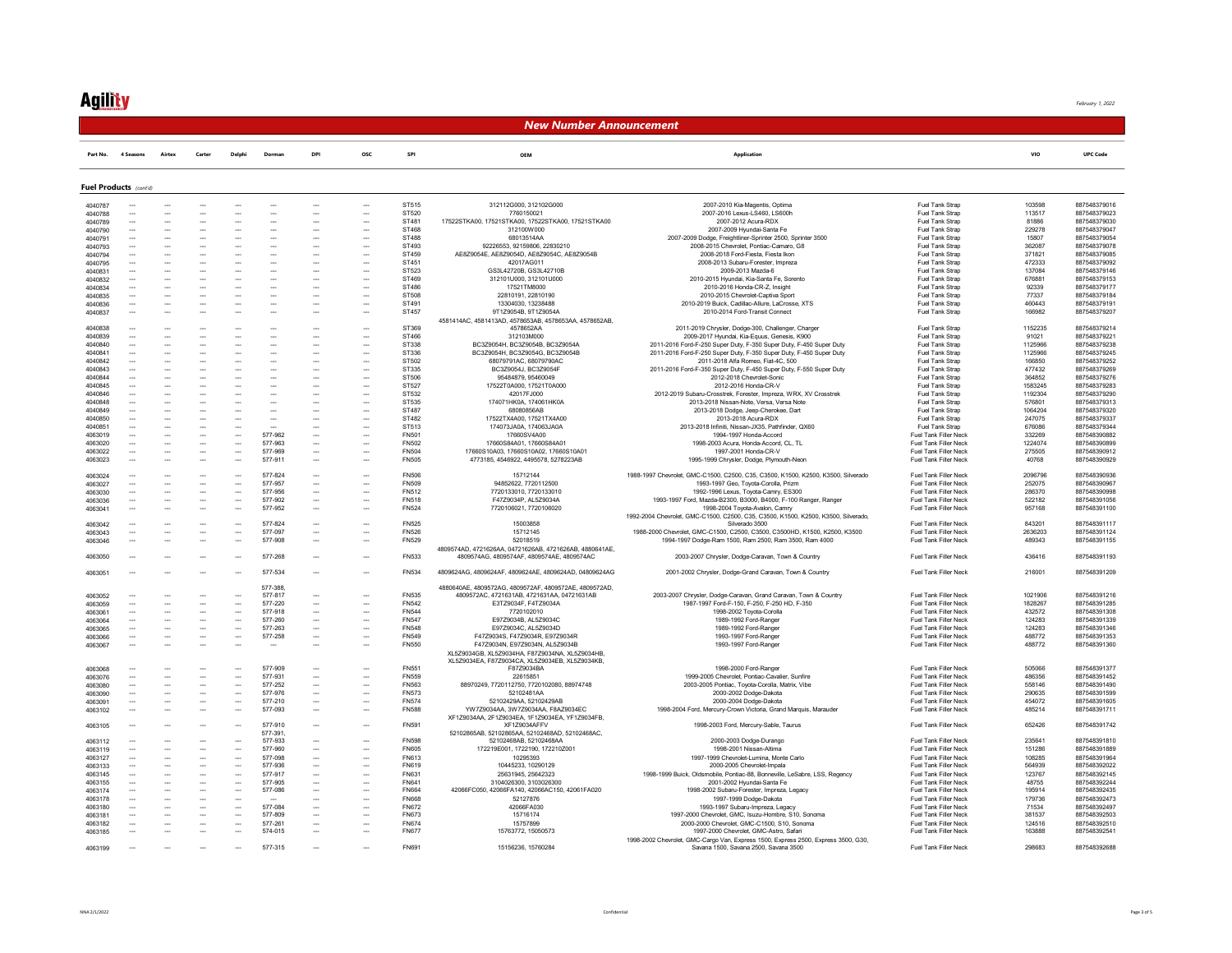## **Agility**

February 1, 2022

#### New Number Announcement

| Part No. 4 Seasons Airtex Carter Delphi Dorman DPI OSC SPI |  | <b>UPC Code</b> |
|------------------------------------------------------------|--|-----------------|
|------------------------------------------------------------|--|-----------------|

|         | Fuel Products (cont'd)   |                          |                          |                          |                          |                          |                          |              |                                                         |                                                                                    |                              |         |              |
|---------|--------------------------|--------------------------|--------------------------|--------------------------|--------------------------|--------------------------|--------------------------|--------------|---------------------------------------------------------|------------------------------------------------------------------------------------|------------------------------|---------|--------------|
| 4040787 |                          |                          |                          |                          |                          | $\sim$                   |                          | ST515        | 312112G000.312102G000                                   | 2007-2010 Kia-Magentis, Optima                                                     | <b>Fuel Tank Stran</b>       | 103598  | 887548379016 |
| 4040788 | $\overline{\phantom{a}}$ |                          | $\overline{\phantom{a}}$ | $\overline{\phantom{a}}$ | $\overline{\phantom{a}}$ | $\overline{\phantom{a}}$ | $\overline{\phantom{a}}$ | ST520        | 7760150021                                              | 2007-2016 Lexus-LS460, LS600h                                                      | Fuel Tank Strap              | 113517  | 887548379023 |
|         |                          | --                       |                          |                          |                          |                          |                          |              |                                                         |                                                                                    |                              |         |              |
| 4040789 | --                       |                          |                          | $\overline{\phantom{a}}$ |                          | $\sim$                   |                          | ST481        | 17522STKA00, 17521STKA00, 17522STKA00, 17521STKA00      | 2007-2012 Acura-RDX                                                                | Fuel Tank Strap              | 81886   | 887548379030 |
| 4040790 | $\overline{\phantom{a}}$ | ---                      | $\sim$                   | $\overline{\phantom{a}}$ | $\overline{\phantom{a}}$ | $\overline{\phantom{a}}$ |                          | ST468        | 312100W000                                              | 2007-2009 Hvundai-Santa Fe                                                         | <b>Fuel Tank Stran</b>       | 229278  | 887548379047 |
| 4040791 | $\overline{\phantom{a}}$ | --                       | $\overline{\phantom{a}}$ | $\overline{a}$           | $\overline{\phantom{a}}$ | $\overline{\phantom{a}}$ | $\overline{\phantom{a}}$ | ST488        | 68013514AA                                              | 2007-2009 Dodge, Freightliner-Sprinter 2500, Sprinter 3500                         | Fuel Tank Strap              | 15807   | 887548379054 |
| 4040793 | ---                      | $\overline{a}$           | $\overline{\phantom{a}}$ | $\overline{\phantom{a}}$ | $\overline{\phantom{a}}$ | $\overline{\phantom{a}}$ |                          | ST493        | 92226553.92159806.22830210                              | 2008-2015 Chevrolet, Pontiac-Camaro, G8                                            | Fuel Tank Strap              | 362087  | 887548379078 |
| 4040794 | ---                      | --                       | $\overline{\phantom{a}}$ | $\overline{\phantom{a}}$ | $\overline{a}$           | $\overline{\phantom{a}}$ |                          | ST459        | AE8Z9054E, AE8Z9054D, AE8Z9054C, AE8Z9054B              | 2008-2018 Ford-Fiesta, Fiesta Ikon                                                 | Fuel Tank Strap              | 371821  | 887548379085 |
| 4040795 | ---                      | ---                      |                          | $\overline{\phantom{a}}$ | $\overline{\phantom{a}}$ | $\overline{\phantom{a}}$ |                          | ST451        | 42017AG011                                              | 2008-2013 Subaru-Eorester Impreza                                                  | <b>Fuel Tank Stran</b>       | 472333  | 887548379092 |
| 4040831 |                          |                          |                          | $\overline{\phantom{a}}$ |                          |                          |                          | ST523        | GS3L42720B. GS3L42710B                                  | 2009-2013 Mazda-6                                                                  | Fuel Tank Strap              | 137084  | 887548379146 |
|         | $\sim$                   | $\sim$                   | $\sim$                   | $\sim$                   | $\sim$                   | $\sim$                   | $\sim$                   | ST469        |                                                         |                                                                                    |                              |         |              |
| 4040832 |                          |                          |                          |                          |                          |                          |                          |              | 312101U000, 312101U000                                  | 2010-2015 Hyundai, Kia-Santa Fe, Sorento                                           | Fuel Tank Strap              | 676881  | 887548379153 |
| 4040834 | $\overline{\phantom{a}}$ | ---                      | $\overline{\phantom{a}}$ | $\overline{\phantom{a}}$ | $\overline{\phantom{a}}$ | $\sim$                   | $\sim$                   | ST486        | 17521TM8000                                             | 2010-2016 Honda-CR-Z Insight                                                       | <b>Fuel Tank Stran</b>       | 92339   | 887548379177 |
| 4040835 | --                       | --                       | Ξ.                       | $\overline{a}$           | $\overline{\phantom{a}}$ | $\overline{\phantom{a}}$ |                          | ST508        | 22810191.22810190                                       | 2010-2015 Chevrolet-Captiva Sport                                                  | Fuel Tank Strap              | 77337   | 887548379184 |
| 4040836 | $\overline{\phantom{a}}$ | $\overline{a}$           | $\sim$                   | $\overline{\phantom{a}}$ | $\sim$                   | $\overline{\phantom{a}}$ | $\overline{\phantom{a}}$ | ST491        | 13304030, 13238488                                      | 2010-2019 Buick, Cadillac-Allure, LaCrosse, XTS                                    | Fuel Tank Strap              | 460443  | 887548379191 |
| 4040837 | ---                      | ---                      |                          | $\overline{\phantom{a}}$ |                          | $\overline{\phantom{a}}$ | $\overline{\phantom{a}}$ | ST457        | 9T1Z9054B, 9T1Z9054A                                    | 2010-2014 Ford-Transit Connect                                                     | Fuel Tank Strap              | 166982  | 887548379207 |
|         |                          |                          |                          |                          |                          |                          |                          |              | 4581414AC, 4581413AD, 4578653AB, 4578653AA, 4578652AB,  |                                                                                    |                              |         |              |
| 4040838 | $\overline{\phantom{a}}$ | --                       | $\overline{\phantom{a}}$ | $\overline{\phantom{a}}$ | $\overline{\phantom{a}}$ | $\overline{\phantom{a}}$ | --                       | ST369        | 4578652AA                                               | 2011-2019 Chrysler, Dodge-300, Challenger, Charger                                 | Fuel Tank Strap              | 1152235 | 887548379214 |
| 4040839 |                          |                          |                          |                          |                          |                          |                          | ST466        | 312103M000                                              | 2009-2017 Hyundai, Kia-Equus, Genesis, K900                                        | Fuel Tank Strap              | 91021   | 887548379221 |
|         |                          |                          |                          |                          |                          |                          |                          |              |                                                         |                                                                                    |                              |         |              |
| 4040840 | ---                      |                          |                          | $\overline{\phantom{a}}$ | $\overline{\phantom{a}}$ | $\overline{\phantom{a}}$ |                          | ST338        | BC3Z9054H, BC3Z9054B, BC3Z9054A                         | 2011-2016 Ford-F-250 Super Duty, F-350 Super Duty, F-450 Super Duty                | Fuel Tank Strap              | 1125966 | 887548379238 |
| 4040841 | ---                      | ---                      | $\overline{\phantom{a}}$ | $\overline{\phantom{a}}$ | $\overline{\phantom{a}}$ | $\overline{\phantom{a}}$ |                          | ST336        | BC3Z9054H, BC3Z9054G, BC3Z9054B                         | 2011-2016 Ford-F-250 Super Duty, F-350 Super Duty, F-450 Super Duty                | Fuel Tank Strap              | 1125966 | 887548379245 |
| 4040842 | ---                      |                          |                          | $\overline{\phantom{a}}$ |                          | $\overline{\phantom{a}}$ |                          | ST502        | 68079791AC, 68079790AC                                  | 2011-2018 Alfa Romeo, Fiat-4C, 500                                                 | Fuel Tank Strap              | 166850  | 887548379252 |
| 4040843 | Ξ.                       |                          |                          |                          |                          | $\overline{\phantom{a}}$ |                          | ST335        | BC3Z9054J, BC3Z9054F                                    | 2011-2016 Ford-F-350 Super Duty, F-450 Super Duty, F-550 Super Duty                | Fuel Tank Strap              | 477432  | 887548379269 |
| 4040844 | $\overline{\phantom{a}}$ | $\overline{a}$           | $\overline{\phantom{a}}$ | $\overline{\phantom{a}}$ | $\overline{\phantom{a}}$ | $\overline{\phantom{a}}$ | $\overline{\phantom{a}}$ | ST506        | 95484879 95460049                                       | 2012-2018 Chevrolet-Sonic                                                          | <b>Fuel Tank Stran</b>       | 364852  | 887548379276 |
| 4040845 | ---                      | ---                      | $\overline{\phantom{a}}$ | $\overline{\phantom{a}}$ | $\overline{\phantom{a}}$ | $\overline{\phantom{a}}$ | $\overline{\phantom{a}}$ | ST527        | 17522T0A000, 17521T0A000                                | 2012-2016 Honda-CR-V                                                               | Fuel Tank Strap              | 1583245 | 887548379283 |
|         |                          |                          |                          |                          |                          |                          | $\overline{\phantom{a}}$ |              | 42017FJ000                                              |                                                                                    |                              |         |              |
| 4040846 | $\overline{\phantom{a}}$ | --                       | $\overline{\phantom{a}}$ | $\overline{\phantom{a}}$ | $\overline{a}$           | $\overline{\phantom{a}}$ |                          | ST532        |                                                         | 2012-2019 Subaru-Crosstrek, Forester, Impreza, WRX, XV Crosstrek                   | Fuel Tank Strap              | 1192304 | 887548379290 |
| 4040848 | $\overline{\phantom{a}}$ | $\overline{a}$           | $\overline{\phantom{a}}$ | $\overline{\phantom{a}}$ | $\overline{\phantom{a}}$ | $\overline{\phantom{a}}$ | $\overline{\phantom{a}}$ | ST535        | 174071HK0A. 174061HK0A                                  | 2013-2018 Nissan-Note, Versa, Versa Note                                           | Fuel Tank Stran              | 576801  | 887548379313 |
| 4040849 |                          |                          |                          |                          |                          |                          |                          | <b>ST487</b> | 68080856AB                                              | 2013-2018 Dodge, Jeep-Cherokee, Dart                                               | Fuel Tank Strap              | 1064204 | 887548379320 |
| 4040850 | ---                      | $\overline{a}$           | $\overline{\phantom{a}}$ | $\overline{\phantom{a}}$ | $\overline{\phantom{a}}$ | $\overline{\phantom{a}}$ |                          | ST482        | 17522TX4A00, 17521TX4A00                                | 2013-2018 Acura-RDX                                                                | Fuel Tank Strap              | 247075  | 887548379337 |
| 4040851 | $\overline{\phantom{a}}$ | $\overline{a}$           | $\sim$                   | $\overline{\phantom{a}}$ | $\sim$                   | $\sim$                   |                          | ST513        | 174073JA0A. 174063JA0A                                  | 2013-2018 Infiniti, Nissan-JX35, Pathfinder, QX60                                  | <b>Fuel Tank Stran</b>       | 676086  | 887548379344 |
| 4063019 |                          |                          |                          | $\overline{a}$           | 577-962                  | $\overline{\phantom{a}}$ |                          | <b>FN501</b> | 17660SV4A00                                             | 1994-1997 Honda-Accord                                                             | Fuel Tank Filler Neck        | 332269  | 887548390882 |
|         |                          |                          |                          |                          |                          |                          |                          |              |                                                         |                                                                                    |                              |         |              |
| 4063020 | Ξ.                       |                          |                          | $\overline{a}$           | 577-963                  | $\overline{\phantom{a}}$ |                          | FN502        | 17660S84A01, 17660S84A01                                | 1998-2003 Acura, Honda-Accord, CL. TL                                              | Fuel Tank Filler Neck        | 1224074 | 887548390899 |
| 4063022 | $\overline{\phantom{a}}$ | ---                      | $\overline{\phantom{a}}$ | $\overline{\phantom{a}}$ | 577-969                  | $\overline{\phantom{a}}$ | $\overline{\phantom{a}}$ | FN504        | 17660S10A03 17660S10A02 17660S10A01                     | 1997-2001 Honda-CR-V                                                               | <b>Fuel Tank Filler Neck</b> | 275505  | 887548390912 |
| 4063023 |                          |                          |                          | $\overline{\phantom{a}}$ | 577-911                  | $\overline{\phantom{a}}$ |                          | <b>FN505</b> | 4773185, 4546922, 4495578, 5278223AB                    | 1995-1999 Chrysler, Dodge, Plymouth-Neon                                           | Fuel Tank Filler Neck        | 40768   | 887548390929 |
|         |                          |                          |                          |                          |                          |                          |                          |              |                                                         |                                                                                    |                              |         |              |
| 4063024 | $\overline{\phantom{a}}$ | ---                      | $\overline{\phantom{a}}$ | $\overline{\phantom{a}}$ | 577-824                  | $\ddotsc$                | $\overline{\phantom{a}}$ | <b>FN506</b> | 15712144                                                | 1988-1997 Chevrolet, GMC-C1500, C2500, C35, C3500, K1500, K2500, K3500, Silverado  | Fuel Tank Filler Neck        | 2096796 | 887548390936 |
| 4063027 | ∽.                       | <u></u>                  | Ξ.                       | $\overline{a}$           | 577-957                  | $\overline{\phantom{a}}$ | Ξ.                       | FN509        | 94852622, 7720112500                                    | 1993-1997 Geo. Tovota-Corolla, Prizm                                               | Fuel Tank Filler Neck        | 252075  | 887548390967 |
|         | $\overline{\phantom{a}}$ | ---                      | $\overline{\phantom{a}}$ | $\overline{\phantom{a}}$ | 577-956                  | $\overline{\phantom{a}}$ | $\overline{\phantom{a}}$ | FN512        | 7720133010. 7720133010                                  | 1992-1996 Lexus, Toyota-Camry, ES300                                               | <b>Fuel Tank Filler Neck</b> | 286370  | 887548390998 |
| 4063030 |                          |                          |                          |                          |                          |                          |                          | <b>FN518</b> |                                                         |                                                                                    |                              |         |              |
| 4063036 | ---                      |                          |                          | $\overline{a}$           | 577-902                  | $\sim$                   |                          |              | F47Z9034P, AL5Z9034A                                    | 1993-1997 Ford, Mazda-B2300, B3000, B4000, F-100 Ranger, Ranger                    | Fuel Tank Filler Neck        | 522182  | 887548391056 |
| 4063041 |                          |                          |                          | $\overline{\phantom{a}}$ | 577-952                  | $\overline{\phantom{a}}$ |                          | <b>FN524</b> | 7720106021, 7720106020                                  | 1998-2004 Toyota-Avalon, Camry                                                     | Fuel Tank Filler Neck        | 957168  | 887548391100 |
|         |                          |                          |                          |                          |                          |                          |                          |              |                                                         | 1992-2004 Chevrolet, GMC-C1500, C2500, C35, C3500, K1500, K2500, K3500, Silverado, |                              |         |              |
| 4063042 |                          |                          |                          | $\overline{\phantom{a}}$ | 577-824                  | $\overline{\phantom{a}}$ |                          | FN525        | 15003858                                                | Silverado 3500                                                                     | Fuel Tank Filler Neck        | 843201  | 887548391117 |
| 4063043 | $\overline{\phantom{a}}$ | ---                      | $\overline{\phantom{a}}$ | $\overline{\phantom{a}}$ | 577-097                  | $\overline{\phantom{a}}$ | $\overline{\phantom{a}}$ | <b>FN526</b> | 15712145                                                | 1988-2000 Chevrolet, GMC-C1500, C2500, C3500, C3500HD, K1500, K2500, K3500         | <b>Fuel Tank Filler Neck</b> | 2636203 | 887548391124 |
| 4063046 | --                       |                          |                          | $\overline{\phantom{a}}$ | 577-908                  | $\sim$                   | $\sim$                   | <b>FN529</b> | 52018519                                                | 1994-1997 Dodge-Ram 1500, Ram 2500, Ram 3500, Ram 4000                             | <b>Fuel Tank Filler Neck</b> | 489343  | 887548391155 |
|         |                          |                          |                          |                          |                          |                          |                          |              | 4809574AD, 4721626AA, 04721626AB, 4721626AB, 4880641AE, |                                                                                    |                              |         |              |
|         | $\sim$                   |                          |                          | $\sim$                   | 577-268                  | $\overline{\phantom{a}}$ | $\overline{\phantom{a}}$ | FN533        | 4809574AG. 4809574AF. 4809574AE. 4809574AC              |                                                                                    | Fuel Tank Filler Neck        | 436416  | 887548391193 |
| 4063050 |                          |                          |                          |                          |                          |                          |                          |              |                                                         | 2003-2007 Chrysler, Dodge-Caravan, Town & Country                                  |                              |         |              |
|         | $\sim$                   |                          |                          | $\overline{\phantom{a}}$ | 577-534                  | $\sim$                   | $\sim$                   | FN534        | 4809624AG, 4809624AF, 4809624AE, 4809624AD, 04809624AG  |                                                                                    | Fuel Tank Filler Neck        | 216001  | 887548391209 |
| 4063051 |                          |                          |                          |                          |                          |                          |                          |              |                                                         | 2001-2002 Chrysler, Dodge-Grand Caravan, Town & Country                            |                              |         |              |
|         |                          |                          |                          |                          |                          |                          |                          |              |                                                         |                                                                                    |                              |         |              |
|         |                          |                          |                          |                          | 577-388                  |                          |                          |              | 4880640AE. 4809572AG. 4809572AF. 4809572AE. 4809572AD.  |                                                                                    |                              |         |              |
| 4063052 |                          |                          |                          | $\overline{a}$           | 577-817                  |                          |                          | FN535        | 4809572AC, 4721631AB, 4721631AA, 04721631AB             | 2003-2007 Chrysler, Dodge-Caravan, Grand Caravan, Town & Country                   | Fuel Tank Filler Neck        | 1021906 | 887548391216 |
| 4063059 | $\overline{\phantom{a}}$ | ---                      | $\overline{\phantom{a}}$ | $\overline{\phantom{a}}$ | 577-220                  | $\sim$                   | $\overline{\phantom{a}}$ | FN542        | F3T79034F F4T79034A                                     | 1987-1997 Ford-F-150, F-250, F-250 HD, F-350                                       | <b>Fuel Tank Filler Neck</b> | 1828267 | 887548391285 |
| 4063061 |                          |                          |                          | $\overline{\phantom{a}}$ | 577-918                  | $\overline{\phantom{a}}$ | $\overline{\phantom{a}}$ | <b>FN544</b> | 7720102010                                              | 1998-2002 Toyota-Corolla                                                           | Fuel Tank Filler Neck        | 432572  | 887548391308 |
| 4063064 |                          |                          |                          | $\overline{\phantom{a}}$ | 577-260                  | $\overline{\phantom{a}}$ |                          | <b>FN547</b> | E97Z9034B, AL5Z9034C                                    | 1989-1992 Ford-Ranger                                                              | Fuel Tank Filler Neck        | 124283  | 887548391339 |
| 4063065 | $\overline{\phantom{a}}$ | --                       | $\overline{\phantom{a}}$ | $\overline{\phantom{a}}$ | 577-263                  | $\overline{\phantom{a}}$ | $\overline{\phantom{a}}$ | <b>FN548</b> | E97Z9034C, AL5Z9034D                                    | 1989-1992 Ford-Ranger                                                              | <b>Fuel Tank Filler Neck</b> | 124283  | 887548391346 |
| 4063066 | $\overline{\phantom{a}}$ | --                       | $\overline{\phantom{a}}$ | $\overline{a}$           | 577-258                  | $\overline{\phantom{a}}$ | $\overline{\phantom{a}}$ | FN549        | F47Z9034S, F47Z9034R, E97Z9034R                         | 1993-1997 Ford-Ranger                                                              | Fuel Tank Filler Neck        | 488772  | 887548391353 |
|         |                          |                          |                          |                          |                          |                          |                          |              |                                                         |                                                                                    |                              |         |              |
| 4063067 |                          |                          |                          | $\overline{\phantom{a}}$ |                          | $\overline{\phantom{a}}$ |                          | FN550        | F47Z9034N, E97Z9034N, AL5Z9034B                         | 1993-1997 Ford-Range                                                               | Fuel Tank Filler Neck        | 488772  | 887548391360 |
|         |                          |                          |                          |                          |                          |                          |                          |              | XL5Z9034GB, XL5Z9034HA, F87Z9034NA, XL5Z9034HB          |                                                                                    |                              |         |              |
|         |                          |                          |                          |                          |                          |                          |                          |              | XL5Z9034EA, F87Z9034CA, XL5Z9034EB, XL5Z9034KB,         |                                                                                    |                              |         |              |
| 4063068 | $\overline{\phantom{a}}$ | ---                      | $\overline{\phantom{a}}$ | $\overline{\phantom{a}}$ | 577-909                  | $\overline{\phantom{a}}$ | ---                      | FN551        | F87Z9034BA                                              | 1998-2000 Ford-Ranger                                                              | Fuel Tank Filler Neck        | 505066  | 887548391377 |
| 4063076 | $\overline{\phantom{a}}$ | $\overline{\phantom{a}}$ | $\overline{\phantom{a}}$ | $\sim$                   | 577-931                  | $\overline{\phantom{a}}$ | $\overline{\phantom{a}}$ | <b>FN559</b> | 22615851                                                | 1999-2005 Chevrolet, Pontiac-Cavalier, Sunfire                                     | Fuel Tank Filler Neck        | 486356  | 887548391452 |
| 4063080 | ---                      | $\overline{a}$           | $\overline{\phantom{a}}$ | $\overline{\phantom{a}}$ | 577-252                  | $\overline{\phantom{a}}$ | $\overline{\phantom{a}}$ | FN563        | 88970249, 7720112750, 7720102080, 88974748              | 2003-2005 Pontiac, Toyota-Corolla, Matrix, Vibe                                    | Fuel Tank Filler Neck        | 558146  | 887548391490 |
| 4063090 | $\overline{\phantom{a}}$ | ---                      | $\overline{\phantom{a}}$ | $\overline{\phantom{a}}$ | 577-976                  | $\sim$                   | $\overline{\phantom{a}}$ | <b>FN573</b> | 52102481AA                                              | 2000-2002 Dodge-Dakota                                                             | <b>Fuel Tank Filler Neck</b> | 290635  | 887548391599 |
|         |                          |                          |                          |                          |                          |                          |                          | <b>FN574</b> |                                                         |                                                                                    |                              |         |              |
| 4063091 | ---                      |                          |                          | $\overline{\phantom{a}}$ | 577-210                  | $\sim$                   |                          |              | 52102429AA, 52102429AB                                  | 2000-2004 Dodge-Dakota                                                             | Fuel Tank Filler Neck        | 454072  | 887548391605 |
| 4063102 | ---                      |                          |                          | $\overline{a}$           | 577-093                  | $\overline{\phantom{a}}$ |                          | <b>FN588</b> | YW7Z9034AA, 3W7Z9034AA, F8AZ9034EC                      | 1998-2004 Ford, Mercury-Crown Victoria, Grand Marquis, Marauder                    | Fuel Tank Filler Neck        | 485214  | 887548391711 |
|         |                          |                          |                          |                          |                          |                          |                          |              | XF1Z9034AA, 2F1Z9034EA, 1F1Z9034EA, YF1Z9034FB,         |                                                                                    |                              |         |              |
| 4063105 |                          |                          |                          | $\overline{\phantom{a}}$ | 577-910                  |                          | $\overline{\phantom{a}}$ | FN591        | XF1Z9034AFFV                                            | 1998-2003 Ford, Mercury-Sable, Taurus                                              | Fuel Tank Filler Neck        | 652426  | 887548391742 |
|         |                          |                          |                          |                          | 577-391                  |                          |                          |              | 52102865AB, 52102865AA, 52102468AD, 52102468AC,         |                                                                                    |                              |         |              |
| 4063112 |                          |                          |                          |                          | 577-933                  |                          |                          | <b>FN598</b> | 52102468AB, 52102468AA                                  | 2000-2003 Dodge-Durango                                                            | Fuel Tank Filler Neck        | 235641  | 887548391810 |
| 4063119 | $\overline{\phantom{a}}$ | $\overline{a}$           | $\overline{\phantom{a}}$ | $\overline{\phantom{a}}$ | 577-960                  | $\overline{\phantom{a}}$ |                          | <b>FN605</b> | 172219E001, 1722190, 172210Z001                         | 1998-2001 Nissan-Altima                                                            | <b>Fuel Tank Filler Neck</b> | 151286  | 887548391889 |
| 4063127 | $\overline{\phantom{a}}$ | $\overline{\phantom{a}}$ | $\overline{\phantom{a}}$ | $\overline{\phantom{a}}$ | 577-098                  | $\overline{\phantom{a}}$ | $\overline{\phantom{a}}$ | <b>FN613</b> | 10295393                                                | 1997-1999 Chevrolet-Lumina, Monte Carlo                                            | <b>Fuel Tank Filler Neck</b> | 108285  | 887548391964 |
|         |                          |                          |                          |                          |                          |                          |                          |              |                                                         |                                                                                    |                              |         |              |
| 4063133 | ---                      |                          | $\overline{\phantom{a}}$ | $\overline{\phantom{a}}$ | 577-936                  | $\sim$                   |                          | FN619        | 10445233, 10290129                                      | 2000-2005 Chevrolet-Impala                                                         | Fuel Tank Filler Neck        | 564939  | 887548392022 |
| 4063145 | $\sim$                   | $\overline{a}$           | $\overline{\phantom{a}}$ | $\overline{a}$           | 577-917                  | $\overline{\phantom{a}}$ | $\sim$                   | FN631        | 25631945.25642323                                       | 1998-1999 Buick, Oldsmobile, Pontiac-88, Bonneville, LeSabre, LSS, Regency         | Fuel Tank Filler Neck        | 123767  | 887548392145 |
| 4063155 | ---                      |                          | $\overline{\phantom{a}}$ | $\overline{\phantom{a}}$ | 577-905                  | $\sim$                   | $\overline{\phantom{a}}$ | FN641        | 3104026300.3103026300                                   | 2001-2002 Hyundai-Santa Fe                                                         | <b>Fuel Tank Filler Neck</b> | 48755   | 887548392244 |
| 4063174 |                          |                          |                          | $\overline{a}$           | 577-086                  |                          |                          | <b>FN664</b> | 42066FC050, 42066FA140, 42066AC150, 42061FA020          | 1998-2002 Subaru-Forester, Impreza, Legacy                                         | Fuel Tank Filler Neck        | 195914  | 887548392435 |
| 4063178 | --                       | $\sim$                   |                          | $\sim$                   |                          | $\sim$                   | $\sim$                   | FN668        | 52127876                                                | 1997-1999 Dodge-Dakota                                                             | <b>Fuel Tank Filler Neck</b> | 179736  | 887548392473 |
| 4063180 | $\overline{\phantom{a}}$ | ---                      | $\overline{\phantom{a}}$ | $\overline{\phantom{a}}$ | 577-084                  | $\sim$                   | $\overline{\phantom{a}}$ | FN672        | 42066FA030                                              | 1993-1997 Subaru-Impreza, Legacy                                                   | Fuel Tank Filler Neck        | 71534   | 887548392497 |
|         |                          |                          |                          |                          |                          |                          |                          |              |                                                         |                                                                                    |                              |         |              |
| 4063181 |                          |                          |                          | $\overline{a}$           | 577-809                  | $\ddot{\phantom{a}}$     |                          | FN673        | 15716174                                                | 1997-2000 Chevrolet, GMC, Isuzu-Hombre, S10, Sonoma                                | Fuel Tank Filler Neck        | 381537  | 887548392503 |
| 4063182 | ---                      | ---                      | $\overline{\phantom{a}}$ | $\overline{\phantom{a}}$ | 577-261                  | $\sim$                   |                          | <b>FN674</b> | 15757899                                                | 2000-2000 Chevrolet GMC-C1500 S10 Sonoma                                           | <b>Fuel Tank Filler Neck</b> | 124516  | 887548392510 |
| 4063185 |                          |                          |                          | $\overline{\phantom{a}}$ | 574-015                  | $\overline{\phantom{a}}$ |                          | <b>FN677</b> | 15763772, 15050573                                      | 1997-2000 Chevrolet, GMC-Astro, Safari                                             | Fuel Tank Filler Neck        | 163888  | 887548392541 |
|         |                          |                          |                          |                          |                          |                          |                          |              |                                                         | 1998-2002 Chevrolet, GMC-Cargo Van, Express 1500, Express 2500, Express 3500, G30, |                              |         |              |
| 4063199 |                          |                          |                          |                          | 577-315                  |                          |                          | <b>FN691</b> | 15156236, 15760284                                      | Savana 1500, Savana 2500, Savana 3500                                              | Fuel Tank Filler Neck        | 298683  | 887548392688 |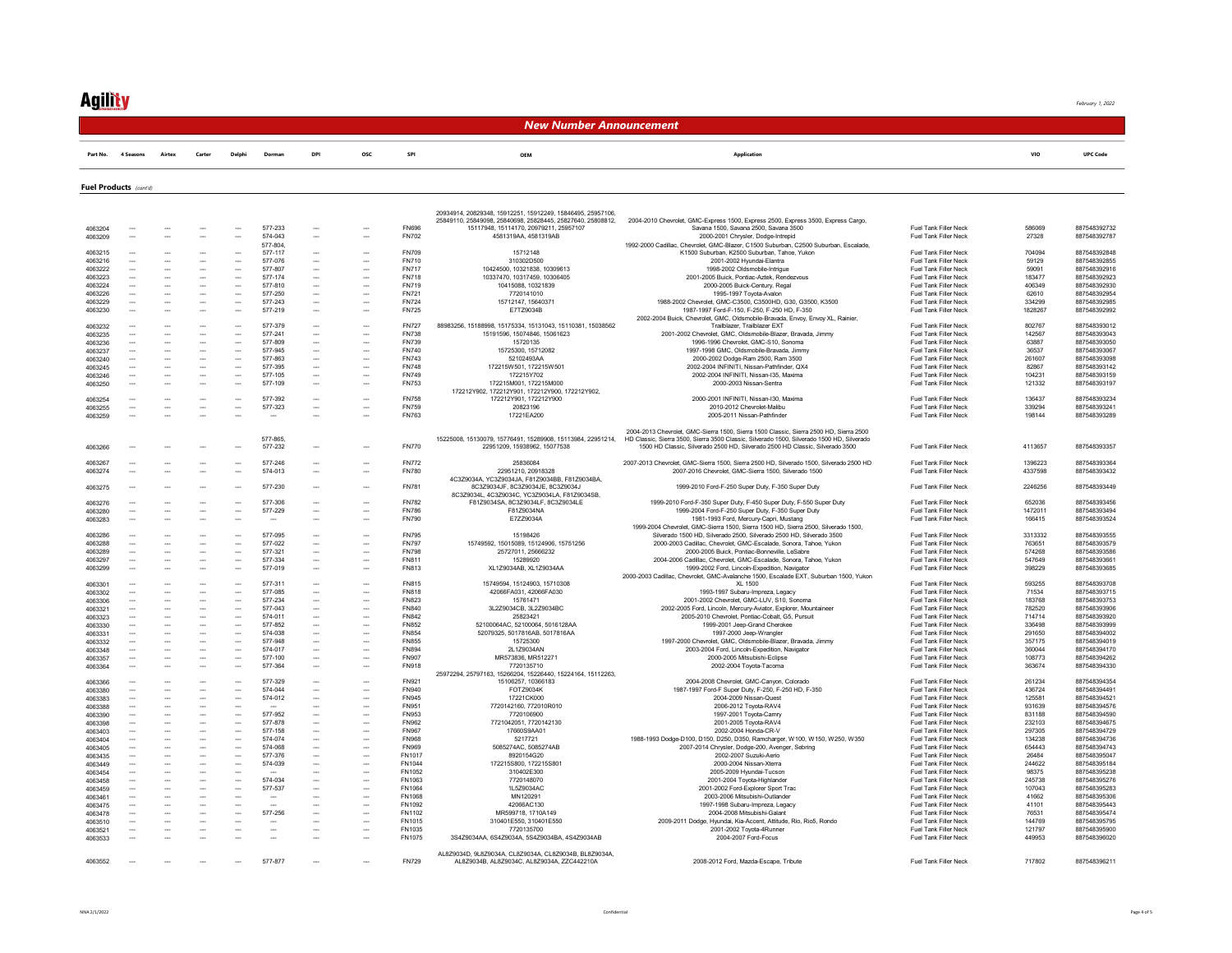February 1, 2022

#### New Number Announcement

Part No. 4 Seasons Airtex Carter Delphi Dorman DPI OSC SPI OEM Application VIO UPC Code

Fuel Products (cont'd)

|                    |                          |                          |                          |                          |                          |                          |                          |               | 20934914, 20829348, 15912251, 15912249, 15846495, 25957106  |                                                                                                                                                        |                              |         |              |
|--------------------|--------------------------|--------------------------|--------------------------|--------------------------|--------------------------|--------------------------|--------------------------|---------------|-------------------------------------------------------------|--------------------------------------------------------------------------------------------------------------------------------------------------------|------------------------------|---------|--------------|
|                    |                          |                          |                          |                          |                          |                          |                          |               | 25849110, 25849098, 25840698, 25828445, 25827640, 25808812, | 2004-2010 Chevrolet, GMC-Express 1500, Express 2500, Express 3500, Express Cargo,                                                                      |                              |         |              |
| 4063204            | $\overline{\phantom{a}}$ | $\overline{\phantom{a}}$ |                          | $\overline{\phantom{a}}$ | 577-233                  | $\overline{\phantom{a}}$ | ---                      | FN696         | 15117948, 15114170, 20979211, 25957107                      | Savana 1500, Savana 2500, Savana 3500                                                                                                                  | Fuel Tank Filler Neck        | 586069  | 887548392732 |
| 4063209            | $\overline{\phantom{a}}$ |                          |                          |                          | 574-043                  | $\overline{\phantom{a}}$ |                          | FN702         | 4581319AA, 4581319AB                                        | 2000-2001 Chrysler, Dodge-Intrepid                                                                                                                     | Fuel Tank Filler Neck        | 27328   | 887548392787 |
|                    |                          |                          |                          |                          |                          |                          |                          |               |                                                             |                                                                                                                                                        |                              |         |              |
|                    |                          |                          |                          |                          | 577-804<br>577-117       |                          |                          | <b>FN709</b>  | 15712148                                                    | 1992-2000 Cadillac, Chevrolet, GMC-Blazer, C1500 Suburban, C2500 Suburban, Escalade,                                                                   | Fuel Tank Filler Neck        | 704094  | 887548392848 |
| 4063215            |                          |                          |                          |                          |                          |                          |                          |               |                                                             | K1500 Suburban, K2500 Suburban, Tahoe, Yukon                                                                                                           |                              |         |              |
| 4063216            |                          |                          |                          |                          | 577-076                  | $\overline{\phantom{a}}$ |                          | <b>FN710</b>  | 310302D500                                                  | 2001-2002 Hyundai-Elantra                                                                                                                              | Fuel Tank Filler Neck        | 59129   | 887548392855 |
| 4063222            | $\overline{\phantom{a}}$ |                          |                          | $\sim$                   | 577-807                  | $\overline{\phantom{a}}$ | --                       | <b>FN717</b>  | 10424500, 10321838, 10309613                                | 1998-2002 Oldsmobile-Intrigue                                                                                                                          | Fuel Tank Filler Neck        | 59091   | 887548392916 |
| 4063223            | $\overline{\phantom{a}}$ | $\overline{\phantom{a}}$ | $\overline{\phantom{a}}$ | $\overline{\phantom{a}}$ | 577-174                  | $\overline{\phantom{a}}$ | --                       | <b>FN718</b>  | 10337470, 10317459, 10306405                                | 2001-2005 Buick, Pontiac-Aztek, Rendezvous                                                                                                             | Fuel Tank Filler Neck        | 183477  | 887548392923 |
| 4063224            | $\overline{\phantom{a}}$ | $\overline{\phantom{a}}$ | $\overline{\phantom{a}}$ | $\overline{\phantom{a}}$ | 577-810                  | $\overline{\phantom{a}}$ | --                       | <b>FN719</b>  | 10415088, 10321839                                          | 2000-2005 Buick-Century, Regal                                                                                                                         | Fuel Tank Filler Neck        | 406349  | 887548392930 |
| 4063226            | $\overline{\phantom{a}}$ | $\overline{\phantom{a}}$ |                          |                          | 577-250                  | $\overline{\phantom{a}}$ |                          | FN721         | 7720141010                                                  | 1995-1997 Toyota-Avalon                                                                                                                                | Fuel Tank Filler Neck        | 62610   | 887548392954 |
| 4063229            | $\overline{\phantom{a}}$ | $\overline{\phantom{a}}$ | $\overline{\phantom{a}}$ | $\sim$                   | 577-243                  | $\overline{\phantom{a}}$ | $\overline{\phantom{a}}$ | <b>FN724</b>  | 15712147, 15640371                                          | 1988-2002 Chevrolet, GMC-C3500, C3500HD, G30, G3500, K3500                                                                                             | <b>Fuel Tank Filler Neck</b> | 334299  | 887548392985 |
| 4063230            | $\overline{\phantom{a}}$ |                          |                          | $\overline{\phantom{a}}$ | 577-219                  | $\overline{\phantom{a}}$ | $\overline{\phantom{a}}$ | <b>FN725</b>  | E7TZ9034B                                                   | 1987-1997 Ford-F-150, F-250, F-250 HD, F-350                                                                                                           | <b>Fuel Tank Filler Neck</b> | 1828267 | 887548392992 |
|                    |                          |                          |                          |                          |                          |                          |                          |               |                                                             | 2002-2004 Buick, Chevrolet, GMC, Oldsmobile-Bravada, Envoy, Envoy XL, Rainier,                                                                         |                              |         |              |
| 4063232            |                          |                          |                          | ---                      | 577-379                  | $\overline{\phantom{a}}$ | Ξ.                       | <b>FN727</b>  | 88983256, 15188998, 15175334, 15131043, 15110381, 15038562  | Trailblazer, Trailblazer EXT                                                                                                                           | Fuel Tank Filler Neck        | 802767  | 887548393012 |
| 4063235            | $\overline{\phantom{a}}$ | $\overline{\phantom{a}}$ | $\overline{\phantom{a}}$ | $\overline{\phantom{a}}$ | 577-241                  | $\overline{\phantom{a}}$ | ---                      | <b>FN738</b>  | 15191596, 15074846, 15061623                                | 2001-2002 Chevrolet, GMC, Oldsmobile-Blazer, Bravada, Jimmy                                                                                            | Fuel Tank Filler Neck        | 142567  | 887548393043 |
| 4063236            | $\overline{\phantom{a}}$ | $\overline{\phantom{a}}$ | $\overline{\phantom{a}}$ | $\overline{\phantom{a}}$ | 577-809                  | $\overline{\phantom{a}}$ | --                       | <b>FN739</b>  | 15720135                                                    | 1996-1996 Chevrolet, GMC-S10, Sonoma                                                                                                                   | Fuel Tank Filler Neck        | 63887   | 887548393050 |
|                    | $\overline{\phantom{a}}$ |                          |                          | $\overline{\phantom{a}}$ | 577-945                  | Ξ.                       |                          | <b>FN740</b>  | 15725300, 15712082                                          | 1997-1998 GMC, Oldsmobile-Bravada, Jimmy                                                                                                               | Fuel Tank Filler Neck        | 36537   | 887548393067 |
| 4063237            |                          |                          |                          |                          |                          |                          |                          |               |                                                             |                                                                                                                                                        |                              |         |              |
| 4063240            | $\overline{\phantom{a}}$ | $\overline{\phantom{a}}$ | $\overline{\phantom{a}}$ | $\overline{\phantom{a}}$ | 577-863                  | $\overline{\phantom{a}}$ | $\overline{\phantom{a}}$ | <b>FN743</b>  | 52102493AA                                                  | 2000-2002 Dodge-Ram 2500, Ram 3500                                                                                                                     | <b>Fuel Tank Filler Neck</b> | 261607  | 887548393098 |
| 4063245            | $\overline{\phantom{a}}$ | $\overline{\phantom{a}}$ |                          | $\overline{\phantom{a}}$ | 577-395                  | $\overline{\phantom{a}}$ | ---                      | <b>FN748</b>  | 172215W501.172215W501                                       | 2002-2004 INFINITI Nissan-Pathfinder QX4                                                                                                               | <b>Fuel Tank Filler Neck</b> | 82867   | 887548393142 |
| 4063246            |                          |                          |                          | ---                      | 577-105                  | $\overline{\phantom{a}}$ | ---                      | <b>FN749</b>  | 172215Y702                                                  | 2002-2004 INFINITI, Nissan-I35, Maxima                                                                                                                 | <b>Fuel Tank Filler Neck</b> | 104231  | 887548393159 |
| 4063250            |                          |                          |                          |                          | 577-109                  | $\sim$                   | --                       | <b>FN753</b>  | 172215M001, 172215M000                                      | 2000-2003 Nissan-Sentra                                                                                                                                | Fuel Tank Filler Neck        | 121332  | 887548393197 |
|                    |                          |                          |                          |                          |                          |                          |                          |               | 172212Y902, 172212Y901, 172212Y900, 172212Y902,             |                                                                                                                                                        |                              |         |              |
| 4063254            |                          |                          |                          |                          | 577-392                  | $\overline{\phantom{a}}$ |                          | <b>FN758</b>  | 172212Y901, 172212Y900                                      | 2000-2001 INFINITI, Nissan-I30, Maxima                                                                                                                 | Fuel Tank Filler Neck        | 136437  | 887548393234 |
| 4063255            | $\overline{\phantom{a}}$ | $\sim$                   | $\overline{\phantom{a}}$ | $\overline{\phantom{a}}$ | 577-323                  | $\overline{\phantom{a}}$ | $\overline{\phantom{a}}$ | <b>FN759</b>  | 20823196                                                    | 2010-2012 Chevrolet-Malibu                                                                                                                             | Fuel Tank Filler Neck        | 339294  | 887548393241 |
| 4063259            | $\sim$                   |                          |                          |                          |                          |                          | --                       | FN763         | 17221FA200                                                  | 2005-2011 Nissan-Pathfinder                                                                                                                            | <b>Fuel Tank Filler Neck</b> | 198144  | 887548393289 |
|                    |                          |                          |                          |                          |                          |                          |                          |               |                                                             |                                                                                                                                                        |                              |         |              |
|                    |                          |                          |                          |                          |                          |                          |                          |               |                                                             | 2004-2013 Chevrolet, GMC-Sierra 1500, Sierra 1500 Classic, Sierra 2500 HD, Sierra 2500                                                                 |                              |         |              |
|                    |                          |                          |                          |                          | 577-865.                 |                          |                          |               |                                                             | 15225008, 15130079, 15776491, 15289908, 15113984, 22951214. HD Classic, Sierra 3500, Sierra 3500 Classic, Silverado 1500, Silverado 1500 HD, Silverado |                              |         |              |
| 4063266            |                          |                          |                          |                          | 577-232                  |                          |                          | <b>FN770</b>  | 22951209, 15938962, 15077538                                | 1500 HD Classic, Silverado 2500 HD, Silverado 2500 HD Classic, Silverado 3500                                                                          | Fuel Tank Filler Neck        | 4113657 | 887548393357 |
|                    |                          |                          |                          |                          |                          |                          |                          |               |                                                             |                                                                                                                                                        |                              |         |              |
| 4063267            |                          |                          |                          |                          | 577-246                  |                          |                          | <b>FN772</b>  | 25836084                                                    | 2007-2013 Chevrolet, GMC-Sierra 1500, Sierra 2500 HD, Silverado 1500, Silverado 2500 HD                                                                | Fuel Tank Filler Neck        | 1396223 | 887548393364 |
| 4063274            | $\overline{\phantom{a}}$ |                          |                          | $\sim$                   | 574-013                  | $\sim$                   | $\overline{\phantom{a}}$ | <b>FN780</b>  | 22951210, 20918328                                          | 2007-2016 Chevrolet GMC-Sierra 1500 Silverado 1500                                                                                                     | <b>Fuel Tank Filler Neck</b> | 4337598 | 887548393432 |
|                    |                          |                          |                          |                          |                          |                          |                          |               | 4C379034A YC379034JA F8179034BB F8179034BA                  |                                                                                                                                                        |                              |         |              |
| 4063275            |                          |                          |                          |                          | 577-230                  |                          | Ξ.                       | <b>FN781</b>  | 8C3Z9034JF, 8C3Z9034JE, 8C3Z9034J                           | 1999-2010 Ford-F-250 Super Duty, F-350 Super Duty                                                                                                      | Fuel Tank Filler Neck        | 2246256 | 887548393449 |
|                    |                          |                          |                          |                          |                          |                          |                          |               | 8C3Z9034L, 4C3Z9034C, YC3Z9034LA, F81Z9034SB,               |                                                                                                                                                        |                              |         |              |
| 4063276            | $\overline{\phantom{a}}$ | $\sim$                   |                          | ---                      | 577-306                  | $\overline{\phantom{a}}$ | $\overline{\phantom{a}}$ | FN782         | F81Z9034SA, 8C3Z9034LF, 8C3Z9034LE                          | 1999-2010 Ford-F-350 Super Duty, F-450 Super Duty, F-550 Super Duty                                                                                    | Fuel Tank Filler Neck        | 652036  | 887548393456 |
| 4063280            |                          |                          |                          |                          | 577-229                  |                          |                          | <b>FN786</b>  | F81Z9034NA                                                  | 1999-2004 Ford-F-250 Super Duty, F-350 Super Duty                                                                                                      | Fuel Tank Filler Neck        | 1472011 | 887548393494 |
| 4063283            | $\overline{\phantom{a}}$ |                          |                          | $\overline{\phantom{a}}$ |                          | $\sim$                   | --                       | <b>FN790</b>  | F7779034A                                                   | 1981-1993 Ford, Mercury-Capri, Mustang                                                                                                                 | Fuel Tank Filler Neck        | 166415  | 887548393524 |
|                    |                          |                          |                          |                          |                          |                          |                          |               |                                                             | 1999-2004 Chevrolet, GMC-Sierra 1500, Sierra 1500 HD, Sierra 2500, Silverado 1500.                                                                     |                              |         |              |
| 4063286            |                          |                          |                          | ---                      | 577-095                  |                          |                          | <b>FN795</b>  | 15198426                                                    | Silverado 1500 HD, Silverado 2500, Silverado 2500 HD, Silverado 3500                                                                                   | Fuel Tank Filler Neck        | 3313332 | 887548393555 |
|                    |                          |                          |                          | $\overline{\phantom{a}}$ | 577-022                  | $\overline{\phantom{a}}$ | $\overline{\phantom{a}}$ | <b>FN797</b>  |                                                             | 2000-2003 Cadillac Chevrolet GMC-Escalade Sonora Tahoe Yukon                                                                                           | <b>Fuel Tank Filler Neck</b> | 763651  | 887548393579 |
| 4063288            | $\overline{\phantom{a}}$ | $\overline{\phantom{a}}$ | $\overline{\phantom{a}}$ |                          |                          |                          |                          |               | 15749592, 15015089, 15124906, 15751256                      |                                                                                                                                                        |                              |         |              |
| 4063289            | $\overline{\phantom{a}}$ | $\overline{\phantom{a}}$ |                          | $\overline{\phantom{a}}$ | 577-321                  | $\overline{\phantom{a}}$ | ┄                        | <b>FN798</b>  | 25727011, 25666232                                          | 2000-2005 Buick, Pontiac-Bonneville, LeSabre                                                                                                           | Fuel Tank Filler Neck        | 574268  | 887548393586 |
| 4063297            |                          |                          |                          |                          | 577-334                  | Ξ.                       |                          | <b>FN811</b>  | 15289920                                                    | 2004-2006 Cadillac, Chevrolet, GMC-Escalade, Sonora, Tahoe, Yukon                                                                                      | Fuel Tank Filler Neck        | 547649  | 887548393661 |
| 4063299            | $\overline{\phantom{a}}$ | $\overline{a}$           |                          | $\overline{\phantom{a}}$ | 577-019                  | $\sim$                   | --                       | FN813         | XL1Z9034AB, XL1Z9034AA                                      | 1999-2002 Ford, Lincoln-Expedition, Navigator                                                                                                          | Fuel Tank Filler Neck        | 398229  | 887548393685 |
|                    |                          |                          |                          |                          |                          |                          |                          |               |                                                             | 2000-2003 Cadillac, Chevrolet, GMC-Avalanche 1500, Escalade EXT, Suburban 1500, Yukon                                                                  |                              |         |              |
| 4063301            |                          |                          |                          | --                       | 577-311                  |                          | ---                      | <b>FN815</b>  | 15749594, 15124903, 15710308                                | <b>XL 1500</b>                                                                                                                                         | Fuel Tank Filler Neck        | 593255  | 887548393708 |
| 4063302            | $\overline{\phantom{a}}$ | $\overline{\phantom{a}}$ |                          | $\overline{\phantom{a}}$ | 577-085                  | $\overline{\phantom{a}}$ | ---                      | <b>FN818</b>  | 42066FA031, 42066FA030                                      | 1993-1997 Subaru-Impreza, Legacy                                                                                                                       | Fuel Tank Filler Neck        | 71534   | 887548393715 |
| 4063306            | $\overline{\phantom{a}}$ | $\overline{\phantom{a}}$ | $\overline{\phantom{a}}$ | $\overline{\phantom{a}}$ | 577-234                  | $\sim$                   | $\overline{\phantom{a}}$ | <b>FN823</b>  | 15761471                                                    | 2001-2002 Chevrolet, GMC-LUV, S10, Sonoma                                                                                                              | <b>Fuel Tank Filler Neck</b> | 183768  | 887548393753 |
| 4063321            | $\overline{\phantom{a}}$ | $\overline{\phantom{a}}$ | $\overline{\phantom{a}}$ | $\overline{\phantom{a}}$ | 577-043                  | $\overline{\phantom{a}}$ | ---                      | FN840         | 3L2Z9034CB, 3L2Z9034BC                                      | 2002-2005 Ford, Lincoln, Mercury-Aviator, Explorer, Mountaineer                                                                                        | Fuel Tank Filler Neck        | 782520  | 887548393906 |
| 4063323            |                          |                          |                          |                          | 574-011                  |                          |                          | FN842         | 25823421                                                    | 2005-2010 Chevrolet, Pontiac-Cobalt, G5, Pursuit                                                                                                       | <b>Fuel Tank Filler Neck</b> | 714714  | 887548393920 |
| 4063330            | $\overline{\phantom{a}}$ | $\overline{\phantom{a}}$ | $\overline{\phantom{a}}$ | $\overline{\phantom{a}}$ | 577-852                  | $\overline{\phantom{a}}$ | --                       | <b>FN852</b>  | 52100064AC, 52100064, 5016128AA                             | 1999-2001 Jeep-Grand Cherokee                                                                                                                          | Fuel Tank Filler Neck        | 336498  | 887548393999 |
| 4063331            | $\overline{\phantom{a}}$ | $\overline{\phantom{a}}$ | $\overline{\phantom{a}}$ | $\overline{\phantom{a}}$ | 574-038                  | $\overline{\phantom{a}}$ | --                       | <b>FN854</b>  | 52079325, 5017816AB, 5017816AA                              | 1997-2000 Jeep-Wrangler                                                                                                                                | <b>Fuel Tank Filler Neck</b> | 291650  | 887548394002 |
| 4063332            | $\overline{\phantom{a}}$ | $\overline{\phantom{a}}$ | $\overline{\phantom{a}}$ | $\overline{\phantom{a}}$ | 577-948                  | $\overline{\phantom{a}}$ |                          | <b>FN855</b>  | 15725300                                                    | 1997-2000 Chevrolet, GMC, Oldsmobile-Blazer, Bravada, Jimmy                                                                                            | Fuel Tank Filler Neck        | 357175  | 887548394019 |
| 4063348            | $\overline{\phantom{a}}$ | $\overline{\phantom{a}}$ | $\overline{\phantom{a}}$ | $\overline{\phantom{a}}$ | 574-017                  | $\overline{\phantom{a}}$ |                          | <b>FN894</b>  | 2L1Z9034AN                                                  | 2003-2004 Ford, Lincoln-Expedition, Navigator                                                                                                          | Fuel Tank Filler Neck        | 360044  | 887548394170 |
| 4063357            | $\overline{\phantom{a}}$ | $\overline{\phantom{a}}$ | $\overline{\phantom{a}}$ | $\overline{\phantom{a}}$ | 577-100                  | $\overline{\phantom{a}}$ | $\overline{\phantom{a}}$ | <b>FN907</b>  | MR573836, MR512271                                          | 2000-2005 Mitsubishi-Eclipse                                                                                                                           | <b>Fuel Tank Filler Neck</b> | 108773  | 887548394262 |
| 4063364            | ---                      | $\overline{\phantom{a}}$ |                          | ---                      | 577-364                  | ---                      | ---                      | FN918         | 7720135710                                                  | 2002-2004 Toyota-Tacoma                                                                                                                                | <b>Fuel Tank Filler Neck</b> | 363674  | 887548394330 |
|                    |                          |                          |                          |                          |                          |                          |                          |               | 25972294. 25797163. 15266204. 15226440. 15224164. 15112263. |                                                                                                                                                        |                              |         |              |
|                    | $\overline{\phantom{a}}$ | $\overline{\phantom{a}}$ |                          | $\overline{\phantom{a}}$ | 577-329                  | $\overline{\phantom{a}}$ | $\overline{\phantom{a}}$ | FN921         | 15106257.10366183                                           | 2004-2008 Chevrolet, GMC-Canyon, Colorado                                                                                                              | Fuel Tank Filler Neck        | 261234  | 887548394354 |
| 4063366            | $\overline{\phantom{a}}$ |                          | $\sim$                   | $\overline{\phantom{a}}$ | 574-044                  | $\overline{\phantom{a}}$ | --                       | FN940         | FOT79034K                                                   | 1987-1997 Ford-F Super Duty, F-250, F-250 HD, F-350                                                                                                    | <b>Fuel Tank Filler Neck</b> | 436724  | 887548394491 |
| 4063380            |                          | $\overline{\phantom{a}}$ |                          |                          |                          |                          |                          |               |                                                             |                                                                                                                                                        |                              |         |              |
| 4063383            | $\overline{\phantom{a}}$ | $\overline{\phantom{a}}$ |                          |                          | 574-012                  | $\overline{\phantom{a}}$ | ---                      | FN945         | 17221CK000                                                  | 2004-2009 Nissan-Quest                                                                                                                                 | Fuel Tank Filler Neck        | 125581  | 887548394521 |
| 4063388            | $\overline{\phantom{a}}$ |                          |                          |                          |                          | $\overline{\phantom{a}}$ |                          | FN951         | 7720142160, 772010R010                                      | 2006-2012 Toyota-RAV4                                                                                                                                  | Fuel Tank Filler Neck        | 931639  | 887548394576 |
| 4063390            | $\overline{\phantom{a}}$ | $\overline{\phantom{a}}$ | $\overline{\phantom{a}}$ | $\overline{\phantom{a}}$ | 577.952                  | $\overline{\phantom{a}}$ | $\overline{\phantom{a}}$ | <b>FN953</b>  | 7720106900                                                  | 1997-2001 Toyota-Camry                                                                                                                                 | <b>Fuel Tank Filler Neck</b> | 831188  | 887548394590 |
| 4063398            | $\overline{\phantom{a}}$ | $\overline{\phantom{a}}$ | $\overline{\phantom{a}}$ | $\overline{\phantom{a}}$ | 577-878                  | $\overline{\phantom{a}}$ | $\overline{\phantom{a}}$ | FN962         | 7721042051.7720142130                                       | 2001-2005 Toyota-RAV4                                                                                                                                  | <b>Fuel Tank Filler Neck</b> | 232103  | 887548394675 |
| 4063403            |                          |                          |                          |                          | 577-158                  | Ξ.                       |                          | <b>FN967</b>  | 17660S9AA01                                                 | 2002-2004 Honda-CR-V                                                                                                                                   | Fuel Tank Filler Neck        | 297305  | 887548394729 |
| 4063404            | $\overline{\phantom{a}}$ | $\overline{\phantom{a}}$ | $\overline{\phantom{a}}$ | $\sim$                   | 574-074                  | $\sim$                   | --                       | <b>FN968</b>  | 5217721                                                     | 1988-1993 Dodge-D100, D150, D250, D350, Ramcharger, W100, W150, W250, W350                                                                             | Fuel Tank Filler Neck        | 134238  | 887548394736 |
| 4063405            | $\overline{\phantom{a}}$ | $\overline{\phantom{a}}$ | $\overline{\phantom{a}}$ | $\overline{\phantom{a}}$ | 574-068                  | $\overline{\phantom{a}}$ | ---                      | <b>FN969</b>  | 5085274AC, 5085274AB                                        | 2007-2014 Chrysler, Dodge-200, Avenger, Sebring                                                                                                        | <b>Fuel Tank Filler Neck</b> | 654443  | 887548394743 |
| 4063435            | $\overline{\phantom{a}}$ | $\overline{\phantom{a}}$ | $\overline{\phantom{a}}$ | $\overline{\phantom{a}}$ | 577-376                  | $\overline{\phantom{a}}$ |                          | <b>FN1017</b> | 8920154G20                                                  | 2002-2007 Suzuki-Aerio                                                                                                                                 | Fuel Tank Filler Neck        | 26484   | 88754839504  |
| 4063449            | $\overline{\phantom{a}}$ | $\overline{\phantom{a}}$ | $\overline{\phantom{a}}$ | $\overline{\phantom{a}}$ | 574-039                  | $\overline{\phantom{a}}$ |                          | FN1044        | 172215S800, 172215S801                                      | 2000-2004 Nissan-Xterra                                                                                                                                | Fuel Tank Filler Neck        | 244622  | 887548395184 |
| 4063454            | $\overline{\phantom{a}}$ | $\overline{\phantom{a}}$ | $\overline{\phantom{a}}$ | $\overline{\phantom{a}}$ |                          | $\overline{\phantom{a}}$ | $\overline{\phantom{a}}$ | FN1052        | 310402E300                                                  | 2005-2009 Hyundai-Tucson                                                                                                                               | <b>Fuel Tank Filler Neck</b> | 98375   | 887548395238 |
| 4063458            | $\overline{\phantom{a}}$ | $\overline{\phantom{a}}$ | $\overline{\phantom{a}}$ | $\overline{\phantom{a}}$ | 574-034                  | $\overline{\phantom{a}}$ |                          | FN1063        | 7720148070                                                  | 2001-2004 Toyota-Highlander                                                                                                                            | <b>Fuel Tank Filler Neck</b> | 245738  | 887548395276 |
| 4063459            |                          | $\overline{\phantom{a}}$ |                          | $\overline{\phantom{a}}$ | 577-537                  | ---                      | ---                      | FN1064        | 1L5Z9034AC                                                  | 2001-2002 Eord-Explorer Sport Trac                                                                                                                     | <b>Fuel Tank Filler Neck</b> | 107043  | 887548395283 |
| 4063461            |                          |                          |                          |                          |                          |                          |                          | FN1068        | MN120291                                                    | 2003-2006 Mitsubishi-Outlander                                                                                                                         | Fuel Tank Filler Neck        | 41662   | 887548395306 |
| 4063475            |                          |                          |                          |                          |                          | $\sim$                   | ---                      | FN1092        | 42066AC130                                                  | 1997-1998 Subaru-Impreza, Legacy                                                                                                                       | Fuel Tank Filler Neck        | 41101   | 887548395443 |
|                    | $\overline{\phantom{a}}$ | $\overline{\phantom{a}}$ | $\overline{\phantom{a}}$ | $\overline{\phantom{a}}$ | 577-256                  | $\overline{\phantom{a}}$ | $\overline{\phantom{a}}$ | <b>FN1102</b> | MR599718, 1710A149                                          | 2004-2008 Mitsubishi-Galant                                                                                                                            | <b>Fuel Tank Filler Neck</b> | 76531   | 887548395474 |
| 4063478<br>4063510 |                          | $\overline{\phantom{a}}$ | $\overline{\phantom{a}}$ |                          |                          |                          | --                       | FN1015        | 310401E550, 310401E550                                      |                                                                                                                                                        | Fuel Tank Filler Neck        | 144769  | 887548395795 |
|                    | $\overline{\phantom{a}}$ |                          |                          | $\overline{\phantom{a}}$ | ---                      |                          |                          |               |                                                             | 2009-2011 Dodge, Hyundai, Kia-Accent, Attitude, Rio, Rio5, Rondo                                                                                       |                              |         |              |
| 4063521            | $\overline{\phantom{a}}$ | $\ddot{\phantom{a}}$     |                          |                          | $\overline{\phantom{a}}$ |                          | --                       | FN1035        | 7720135700                                                  | 2001-2002 Toyota-4Runner                                                                                                                               | Fuel Tank Filler Neck        | 121797  | 887548395900 |
| 4063533            |                          |                          |                          |                          |                          |                          |                          | FN1075        | 3S4Z9034AA, 6S4Z9034A, 5S4Z9034BA, 4S4Z9034AB               | 2004-2007 Ford-Focus                                                                                                                                   | <b>Fuel Tank Filler Neck</b> | 449953  | 887548396020 |
|                    |                          |                          |                          |                          |                          |                          |                          |               | AL8Z9034D, 9L8Z9034A, CL8Z9034A, CL8Z9034B, BL8Z9034A,      |                                                                                                                                                        |                              |         |              |
|                    |                          |                          |                          |                          | 577-877                  |                          |                          | <b>FN729</b>  | AL8Z9034B, AL8Z9034C, AL8Z9034A, ZZC442210A                 | 2008-2012 Ford, Mazda-Escape, Tribute                                                                                                                  | Fuel Tank Filler Neck        | 717802  | 887548396211 |
| 4063552            |                          |                          |                          |                          |                          |                          |                          |               |                                                             |                                                                                                                                                        |                              |         |              |